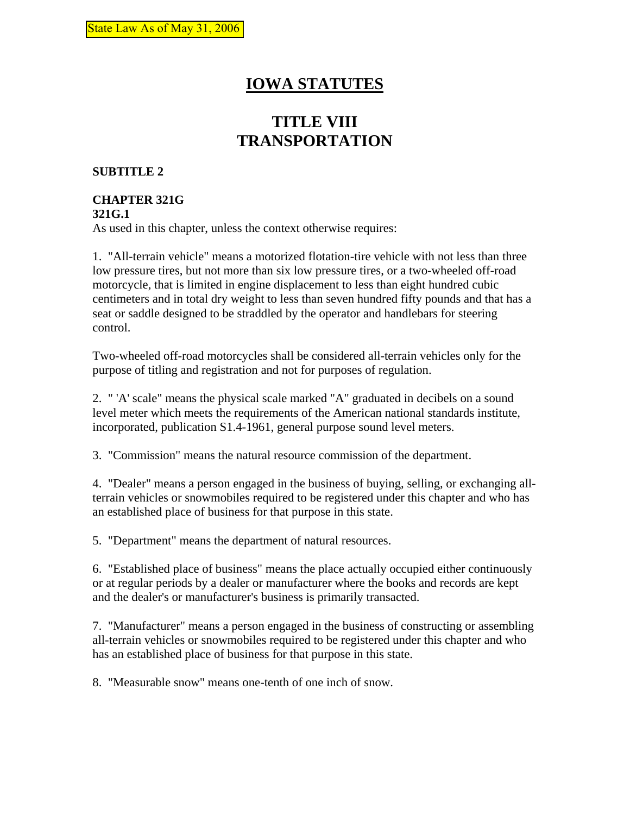# **IOWA STATUTES**

# **TITLE VIII TRANSPORTATION**

### **SUBTITLE 2**

#### **CHAPTER 321G 321G.1**

As used in this chapter, unless the context otherwise requires:

1. "All-terrain vehicle" means a motorized flotation-tire vehicle with not less than three low pressure tires, but not more than six low pressure tires, or a two-wheeled off-road motorcycle, that is limited in engine displacement to less than eight hundred cubic centimeters and in total dry weight to less than seven hundred fifty pounds and that has a seat or saddle designed to be straddled by the operator and handlebars for steering control.

Two-wheeled off-road motorcycles shall be considered all-terrain vehicles only for the purpose of titling and registration and not for purposes of regulation.

2. " 'A' scale" means the physical scale marked "A" graduated in decibels on a sound level meter which meets the requirements of the American national standards institute, incorporated, publication S1.4-1961, general purpose sound level meters.

3. "Commission" means the natural resource commission of the department.

4. "Dealer" means a person engaged in the business of buying, selling, or exchanging allterrain vehicles or snowmobiles required to be registered under this chapter and who has an established place of business for that purpose in this state.

5. "Department" means the department of natural resources.

6. "Established place of business" means the place actually occupied either continuously or at regular periods by a dealer or manufacturer where the books and records are kept and the dealer's or manufacturer's business is primarily transacted.

7. "Manufacturer" means a person engaged in the business of constructing or assembling all-terrain vehicles or snowmobiles required to be registered under this chapter and who has an established place of business for that purpose in this state.

8. "Measurable snow" means one-tenth of one inch of snow.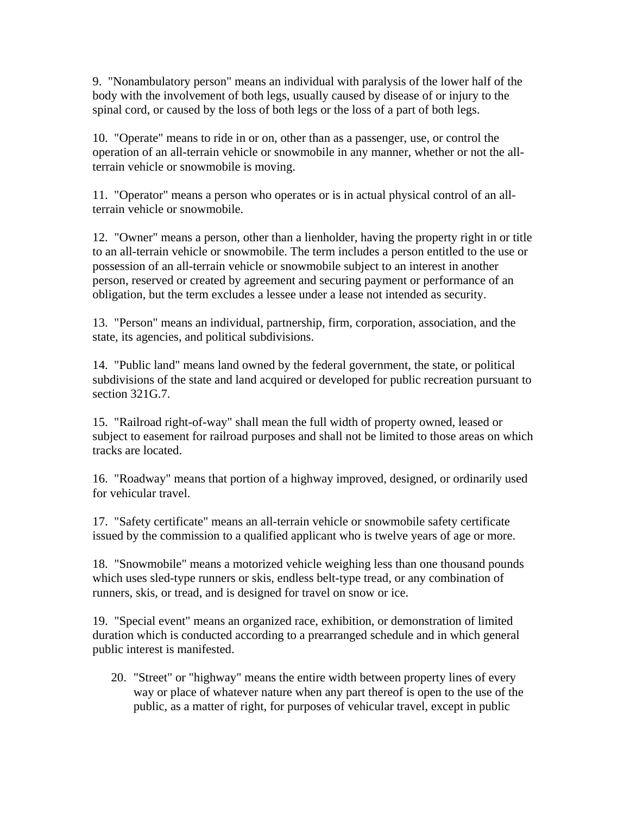9. "Nonambulatory person" means an individual with paralysis of the lower half of the body with the involvement of both legs, usually caused by disease of or injury to the spinal cord, or caused by the loss of both legs or the loss of a part of both legs.

10. "Operate" means to ride in or on, other than as a passenger, use, or control the operation of an all-terrain vehicle or snowmobile in any manner, whether or not the allterrain vehicle or snowmobile is moving.

11. "Operator" means a person who operates or is in actual physical control of an allterrain vehicle or snowmobile.

12. "Owner" means a person, other than a lienholder, having the property right in or title to an all-terrain vehicle or snowmobile. The term includes a person entitled to the use or possession of an all-terrain vehicle or snowmobile subject to an interest in another person, reserved or created by agreement and securing payment or performance of an obligation, but the term excludes a lessee under a lease not intended as security.

13. "Person" means an individual, partnership, firm, corporation, association, and the state, its agencies, and political subdivisions.

14. "Public land" means land owned by the federal government, the state, or political subdivisions of the state and land acquired or developed for public recreation pursuant to section 321G.7.

15. "Railroad right-of-way" shall mean the full width of property owned, leased or subject to easement for railroad purposes and shall not be limited to those areas on which tracks are located.

16. "Roadway" means that portion of a highway improved, designed, or ordinarily used for vehicular travel.

17. "Safety certificate" means an all-terrain vehicle or snowmobile safety certificate issued by the commission to a qualified applicant who is twelve years of age or more.

18. "Snowmobile" means a motorized vehicle weighing less than one thousand pounds which uses sled-type runners or skis, endless belt-type tread, or any combination of runners, skis, or tread, and is designed for travel on snow or ice.

19. "Special event" means an organized race, exhibition, or demonstration of limited duration which is conducted according to a prearranged schedule and in which general public interest is manifested.

20. "Street" or "highway" means the entire width between property lines of every way or place of whatever nature when any part thereof is open to the use of the public, as a matter of right, for purposes of vehicular travel, except in public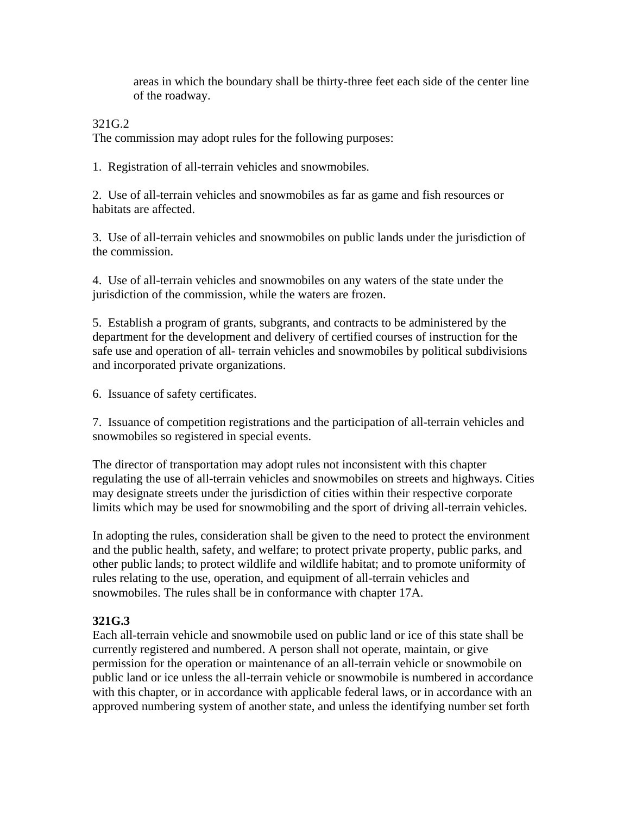areas in which the boundary shall be thirty-three feet each side of the center line of the roadway.

#### 321G.2

The commission may adopt rules for the following purposes:

1. Registration of all-terrain vehicles and snowmobiles.

2. Use of all-terrain vehicles and snowmobiles as far as game and fish resources or habitats are affected.

3. Use of all-terrain vehicles and snowmobiles on public lands under the jurisdiction of the commission.

4. Use of all-terrain vehicles and snowmobiles on any waters of the state under the jurisdiction of the commission, while the waters are frozen.

5. Establish a program of grants, subgrants, and contracts to be administered by the department for the development and delivery of certified courses of instruction for the safe use and operation of all- terrain vehicles and snowmobiles by political subdivisions and incorporated private organizations.

6. Issuance of safety certificates.

7. Issuance of competition registrations and the participation of all-terrain vehicles and snowmobiles so registered in special events.

The director of transportation may adopt rules not inconsistent with this chapter regulating the use of all-terrain vehicles and snowmobiles on streets and highways. Cities may designate streets under the jurisdiction of cities within their respective corporate limits which may be used for snowmobiling and the sport of driving all-terrain vehicles.

In adopting the rules, consideration shall be given to the need to protect the environment and the public health, safety, and welfare; to protect private property, public parks, and other public lands; to protect wildlife and wildlife habitat; and to promote uniformity of rules relating to the use, operation, and equipment of all-terrain vehicles and snowmobiles. The rules shall be in conformance with chapter 17A.

#### **321G.3**

Each all-terrain vehicle and snowmobile used on public land or ice of this state shall be currently registered and numbered. A person shall not operate, maintain, or give permission for the operation or maintenance of an all-terrain vehicle or snowmobile on public land or ice unless the all-terrain vehicle or snowmobile is numbered in accordance with this chapter, or in accordance with applicable federal laws, or in accordance with an approved numbering system of another state, and unless the identifying number set forth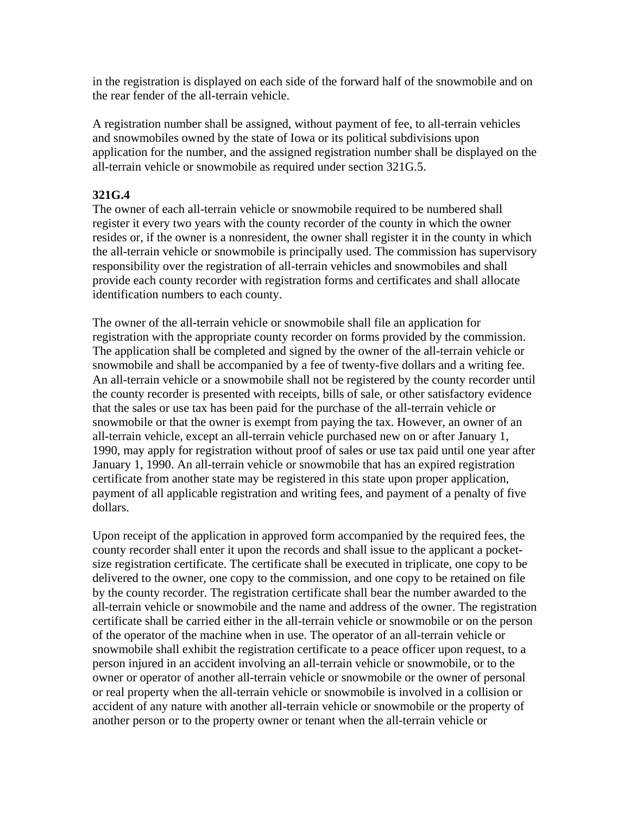in the registration is displayed on each side of the forward half of the snowmobile and on the rear fender of the all-terrain vehicle.

A registration number shall be assigned, without payment of fee, to all-terrain vehicles and snowmobiles owned by the state of Iowa or its political subdivisions upon application for the number, and the assigned registration number shall be displayed on the all-terrain vehicle or snowmobile as required under section 321G.5.

#### **321G.4**

The owner of each all-terrain vehicle or snowmobile required to be numbered shall register it every two years with the county recorder of the county in which the owner resides or, if the owner is a nonresident, the owner shall register it in the county in which the all-terrain vehicle or snowmobile is principally used. The commission has supervisory responsibility over the registration of all-terrain vehicles and snowmobiles and shall provide each county recorder with registration forms and certificates and shall allocate identification numbers to each county.

The owner of the all-terrain vehicle or snowmobile shall file an application for registration with the appropriate county recorder on forms provided by the commission. The application shall be completed and signed by the owner of the all-terrain vehicle or snowmobile and shall be accompanied by a fee of twenty-five dollars and a writing fee. An all-terrain vehicle or a snowmobile shall not be registered by the county recorder until the county recorder is presented with receipts, bills of sale, or other satisfactory evidence that the sales or use tax has been paid for the purchase of the all-terrain vehicle or snowmobile or that the owner is exempt from paying the tax. However, an owner of an all-terrain vehicle, except an all-terrain vehicle purchased new on or after January 1, 1990, may apply for registration without proof of sales or use tax paid until one year after January 1, 1990. An all-terrain vehicle or snowmobile that has an expired registration certificate from another state may be registered in this state upon proper application, payment of all applicable registration and writing fees, and payment of a penalty of five dollars.

Upon receipt of the application in approved form accompanied by the required fees, the county recorder shall enter it upon the records and shall issue to the applicant a pocketsize registration certificate. The certificate shall be executed in triplicate, one copy to be delivered to the owner, one copy to the commission, and one copy to be retained on file by the county recorder. The registration certificate shall bear the number awarded to the all-terrain vehicle or snowmobile and the name and address of the owner. The registration certificate shall be carried either in the all-terrain vehicle or snowmobile or on the person of the operator of the machine when in use. The operator of an all-terrain vehicle or snowmobile shall exhibit the registration certificate to a peace officer upon request, to a person injured in an accident involving an all-terrain vehicle or snowmobile, or to the owner or operator of another all-terrain vehicle or snowmobile or the owner of personal or real property when the all-terrain vehicle or snowmobile is involved in a collision or accident of any nature with another all-terrain vehicle or snowmobile or the property of another person or to the property owner or tenant when the all-terrain vehicle or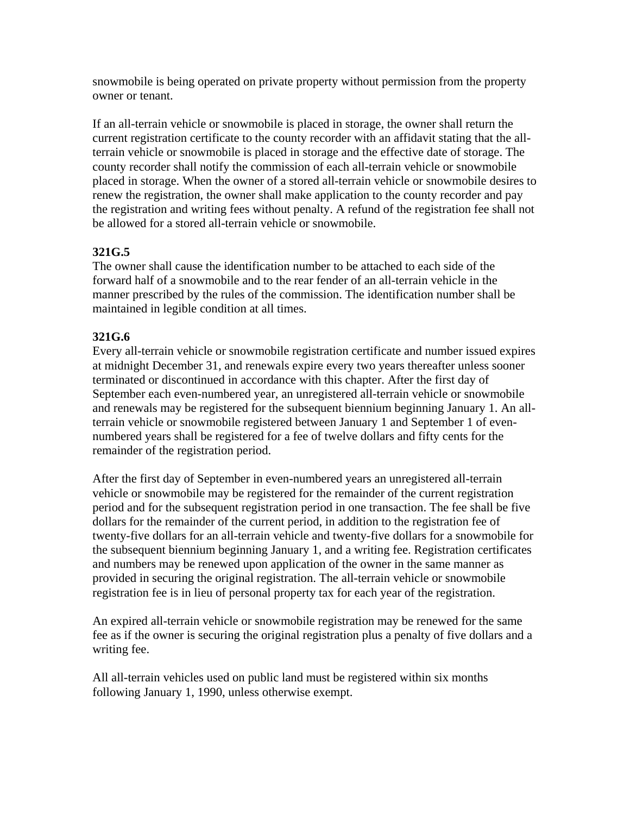snowmobile is being operated on private property without permission from the property owner or tenant.

If an all-terrain vehicle or snowmobile is placed in storage, the owner shall return the current registration certificate to the county recorder with an affidavit stating that the allterrain vehicle or snowmobile is placed in storage and the effective date of storage. The county recorder shall notify the commission of each all-terrain vehicle or snowmobile placed in storage. When the owner of a stored all-terrain vehicle or snowmobile desires to renew the registration, the owner shall make application to the county recorder and pay the registration and writing fees without penalty. A refund of the registration fee shall not be allowed for a stored all-terrain vehicle or snowmobile.

# **321G.5**

The owner shall cause the identification number to be attached to each side of the forward half of a snowmobile and to the rear fender of an all-terrain vehicle in the manner prescribed by the rules of the commission. The identification number shall be maintained in legible condition at all times.

# **321G.6**

Every all-terrain vehicle or snowmobile registration certificate and number issued expires at midnight December 31, and renewals expire every two years thereafter unless sooner terminated or discontinued in accordance with this chapter. After the first day of September each even-numbered year, an unregistered all-terrain vehicle or snowmobile and renewals may be registered for the subsequent biennium beginning January 1. An allterrain vehicle or snowmobile registered between January 1 and September 1 of evennumbered years shall be registered for a fee of twelve dollars and fifty cents for the remainder of the registration period.

After the first day of September in even-numbered years an unregistered all-terrain vehicle or snowmobile may be registered for the remainder of the current registration period and for the subsequent registration period in one transaction. The fee shall be five dollars for the remainder of the current period, in addition to the registration fee of twenty-five dollars for an all-terrain vehicle and twenty-five dollars for a snowmobile for the subsequent biennium beginning January 1, and a writing fee. Registration certificates and numbers may be renewed upon application of the owner in the same manner as provided in securing the original registration. The all-terrain vehicle or snowmobile registration fee is in lieu of personal property tax for each year of the registration.

An expired all-terrain vehicle or snowmobile registration may be renewed for the same fee as if the owner is securing the original registration plus a penalty of five dollars and a writing fee.

All all-terrain vehicles used on public land must be registered within six months following January 1, 1990, unless otherwise exempt.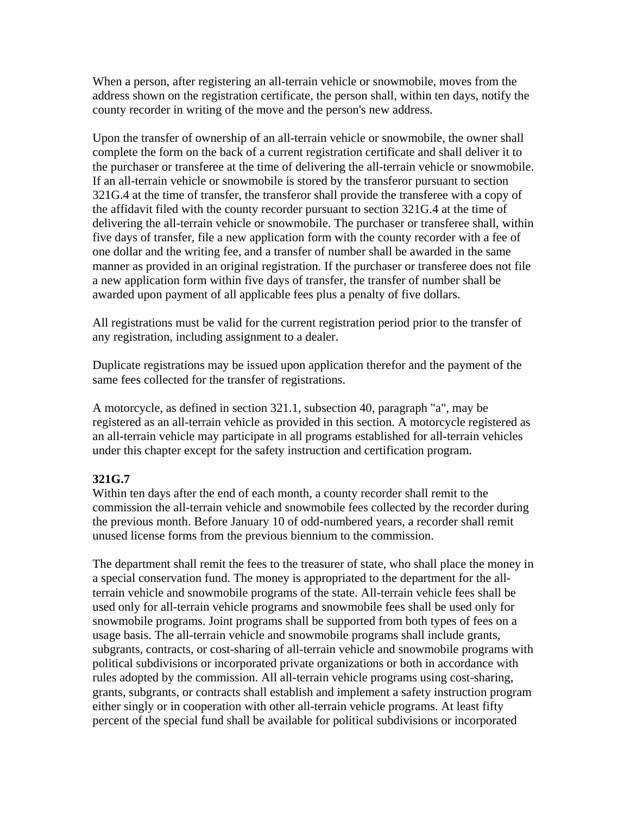When a person, after registering an all-terrain vehicle or snowmobile, moves from the address shown on the registration certificate, the person shall, within ten days, notify the county recorder in writing of the move and the person's new address.

Upon the transfer of ownership of an all-terrain vehicle or snowmobile, the owner shall complete the form on the back of a current registration certificate and shall deliver it to the purchaser or transferee at the time of delivering the all-terrain vehicle or snowmobile. If an all-terrain vehicle or snowmobile is stored by the transferor pursuant to section 321G.4 at the time of transfer, the transferor shall provide the transferee with a copy of the affidavit filed with the county recorder pursuant to section 321G.4 at the time of delivering the all-terrain vehicle or snowmobile. The purchaser or transferee shall, within five days of transfer, file a new application form with the county recorder with a fee of one dollar and the writing fee, and a transfer of number shall be awarded in the same manner as provided in an original registration. If the purchaser or transferee does not file a new application form within five days of transfer, the transfer of number shall be awarded upon payment of all applicable fees plus a penalty of five dollars.

All registrations must be valid for the current registration period prior to the transfer of any registration, including assignment to a dealer.

Duplicate registrations may be issued upon application therefor and the payment of the same fees collected for the transfer of registrations.

A motorcycle, as defined in section 321.1, subsection 40, paragraph "a", may be registered as an all-terrain vehicle as provided in this section. A motorcycle registered as an all-terrain vehicle may participate in all programs established for all-terrain vehicles under this chapter except for the safety instruction and certification program.

#### **321G.7**

Within ten days after the end of each month, a county recorder shall remit to the commission the all-terrain vehicle and snowmobile fees collected by the recorder during the previous month. Before January 10 of odd-numbered years, a recorder shall remit unused license forms from the previous biennium to the commission.

The department shall remit the fees to the treasurer of state, who shall place the money in a special conservation fund. The money is appropriated to the department for the allterrain vehicle and snowmobile programs of the state. All-terrain vehicle fees shall be used only for all-terrain vehicle programs and snowmobile fees shall be used only for snowmobile programs. Joint programs shall be supported from both types of fees on a usage basis. The all-terrain vehicle and snowmobile programs shall include grants, subgrants, contracts, or cost-sharing of all-terrain vehicle and snowmobile programs with political subdivisions or incorporated private organizations or both in accordance with rules adopted by the commission. All all-terrain vehicle programs using cost-sharing, grants, subgrants, or contracts shall establish and implement a safety instruction program either singly or in cooperation with other all-terrain vehicle programs. At least fifty percent of the special fund shall be available for political subdivisions or incorporated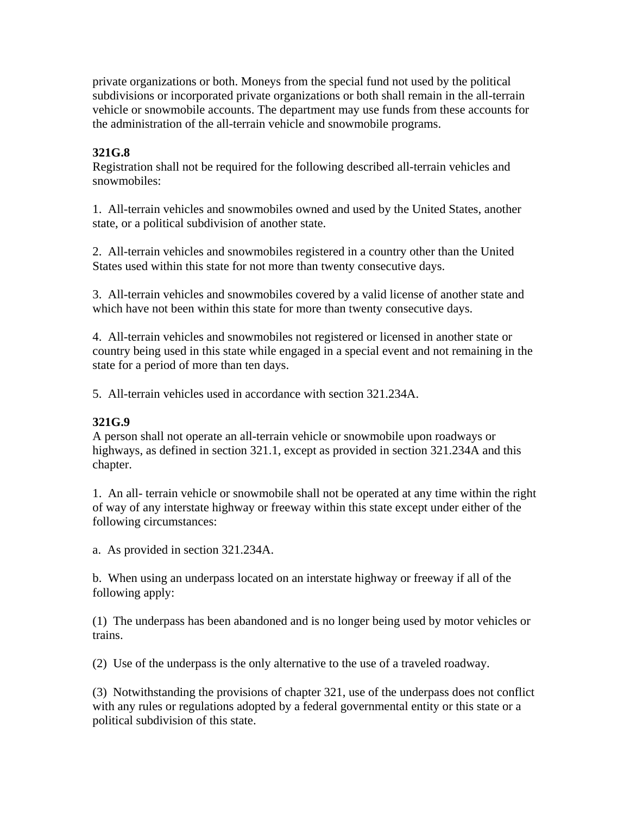private organizations or both. Moneys from the special fund not used by the political subdivisions or incorporated private organizations or both shall remain in the all-terrain vehicle or snowmobile accounts. The department may use funds from these accounts for the administration of the all-terrain vehicle and snowmobile programs.

## **321G.8**

Registration shall not be required for the following described all-terrain vehicles and snowmobiles:

1. All-terrain vehicles and snowmobiles owned and used by the United States, another state, or a political subdivision of another state.

2. All-terrain vehicles and snowmobiles registered in a country other than the United States used within this state for not more than twenty consecutive days.

3. All-terrain vehicles and snowmobiles covered by a valid license of another state and which have not been within this state for more than twenty consecutive days.

4. All-terrain vehicles and snowmobiles not registered or licensed in another state or country being used in this state while engaged in a special event and not remaining in the state for a period of more than ten days.

5. All-terrain vehicles used in accordance with section 321.234A.

## **321G.9**

A person shall not operate an all-terrain vehicle or snowmobile upon roadways or highways, as defined in section 321.1, except as provided in section 321.234A and this chapter.

1. An all- terrain vehicle or snowmobile shall not be operated at any time within the right of way of any interstate highway or freeway within this state except under either of the following circumstances:

a. As provided in section 321.234A.

b. When using an underpass located on an interstate highway or freeway if all of the following apply:

(1) The underpass has been abandoned and is no longer being used by motor vehicles or trains.

(2) Use of the underpass is the only alternative to the use of a traveled roadway.

(3) Notwithstanding the provisions of chapter 321, use of the underpass does not conflict with any rules or regulations adopted by a federal governmental entity or this state or a political subdivision of this state.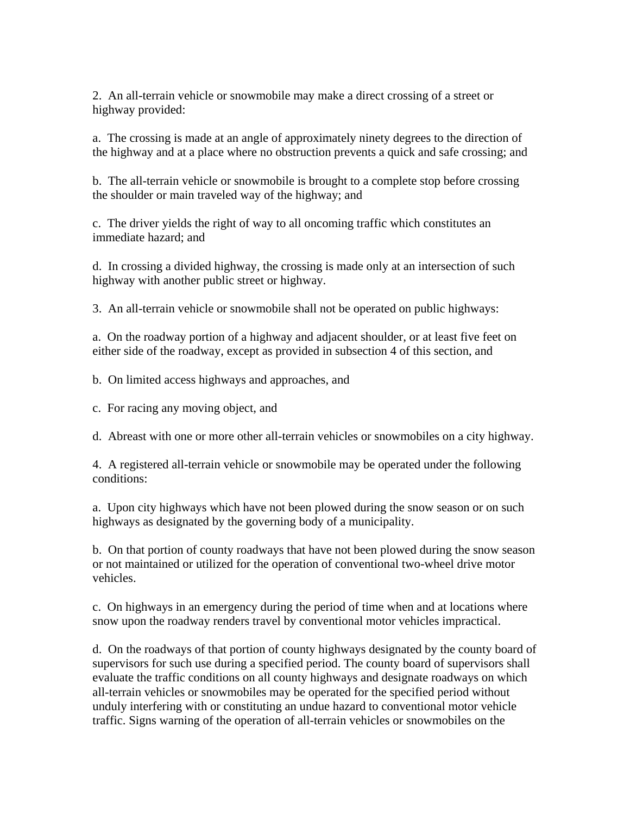2. An all-terrain vehicle or snowmobile may make a direct crossing of a street or highway provided:

a. The crossing is made at an angle of approximately ninety degrees to the direction of the highway and at a place where no obstruction prevents a quick and safe crossing; and

b. The all-terrain vehicle or snowmobile is brought to a complete stop before crossing the shoulder or main traveled way of the highway; and

c. The driver yields the right of way to all oncoming traffic which constitutes an immediate hazard; and

d. In crossing a divided highway, the crossing is made only at an intersection of such highway with another public street or highway.

3. An all-terrain vehicle or snowmobile shall not be operated on public highways:

a. On the roadway portion of a highway and adjacent shoulder, or at least five feet on either side of the roadway, except as provided in subsection 4 of this section, and

b. On limited access highways and approaches, and

c. For racing any moving object, and

d. Abreast with one or more other all-terrain vehicles or snowmobiles on a city highway.

4. A registered all-terrain vehicle or snowmobile may be operated under the following conditions:

a. Upon city highways which have not been plowed during the snow season or on such highways as designated by the governing body of a municipality.

b. On that portion of county roadways that have not been plowed during the snow season or not maintained or utilized for the operation of conventional two-wheel drive motor vehicles.

c. On highways in an emergency during the period of time when and at locations where snow upon the roadway renders travel by conventional motor vehicles impractical.

d. On the roadways of that portion of county highways designated by the county board of supervisors for such use during a specified period. The county board of supervisors shall evaluate the traffic conditions on all county highways and designate roadways on which all-terrain vehicles or snowmobiles may be operated for the specified period without unduly interfering with or constituting an undue hazard to conventional motor vehicle traffic. Signs warning of the operation of all-terrain vehicles or snowmobiles on the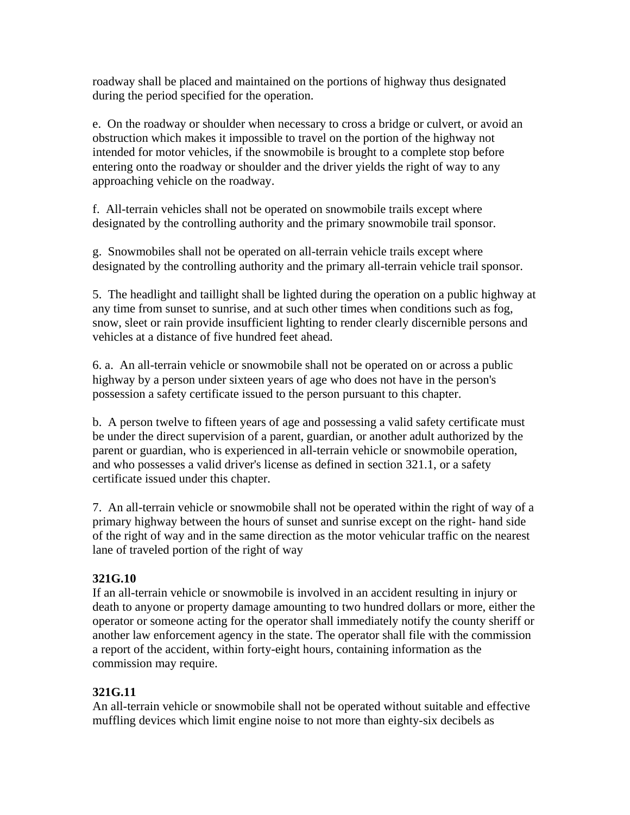roadway shall be placed and maintained on the portions of highway thus designated during the period specified for the operation.

e. On the roadway or shoulder when necessary to cross a bridge or culvert, or avoid an obstruction which makes it impossible to travel on the portion of the highway not intended for motor vehicles, if the snowmobile is brought to a complete stop before entering onto the roadway or shoulder and the driver yields the right of way to any approaching vehicle on the roadway.

f. All-terrain vehicles shall not be operated on snowmobile trails except where designated by the controlling authority and the primary snowmobile trail sponsor.

g. Snowmobiles shall not be operated on all-terrain vehicle trails except where designated by the controlling authority and the primary all-terrain vehicle trail sponsor.

5. The headlight and taillight shall be lighted during the operation on a public highway at any time from sunset to sunrise, and at such other times when conditions such as fog, snow, sleet or rain provide insufficient lighting to render clearly discernible persons and vehicles at a distance of five hundred feet ahead.

6. a. An all-terrain vehicle or snowmobile shall not be operated on or across a public highway by a person under sixteen years of age who does not have in the person's possession a safety certificate issued to the person pursuant to this chapter.

b. A person twelve to fifteen years of age and possessing a valid safety certificate must be under the direct supervision of a parent, guardian, or another adult authorized by the parent or guardian, who is experienced in all-terrain vehicle or snowmobile operation, and who possesses a valid driver's license as defined in section 321.1, or a safety certificate issued under this chapter.

7. An all-terrain vehicle or snowmobile shall not be operated within the right of way of a primary highway between the hours of sunset and sunrise except on the right- hand side of the right of way and in the same direction as the motor vehicular traffic on the nearest lane of traveled portion of the right of way

## **321G.10**

If an all-terrain vehicle or snowmobile is involved in an accident resulting in injury or death to anyone or property damage amounting to two hundred dollars or more, either the operator or someone acting for the operator shall immediately notify the county sheriff or another law enforcement agency in the state. The operator shall file with the commission a report of the accident, within forty-eight hours, containing information as the commission may require.

## **321G.11**

An all-terrain vehicle or snowmobile shall not be operated without suitable and effective muffling devices which limit engine noise to not more than eighty-six decibels as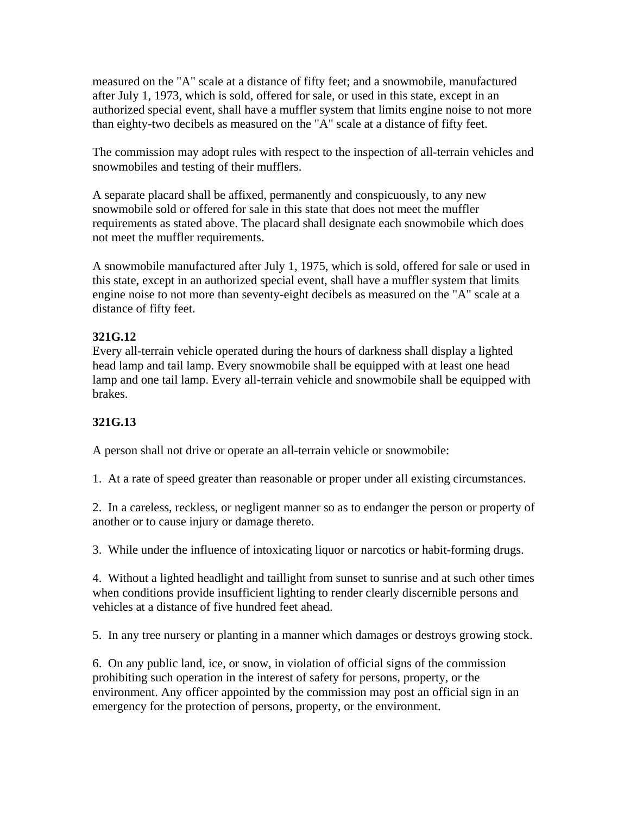measured on the "A" scale at a distance of fifty feet; and a snowmobile, manufactured after July 1, 1973, which is sold, offered for sale, or used in this state, except in an authorized special event, shall have a muffler system that limits engine noise to not more than eighty-two decibels as measured on the "A" scale at a distance of fifty feet.

The commission may adopt rules with respect to the inspection of all-terrain vehicles and snowmobiles and testing of their mufflers.

A separate placard shall be affixed, permanently and conspicuously, to any new snowmobile sold or offered for sale in this state that does not meet the muffler requirements as stated above. The placard shall designate each snowmobile which does not meet the muffler requirements.

A snowmobile manufactured after July 1, 1975, which is sold, offered for sale or used in this state, except in an authorized special event, shall have a muffler system that limits engine noise to not more than seventy-eight decibels as measured on the "A" scale at a distance of fifty feet.

## **321G.12**

Every all-terrain vehicle operated during the hours of darkness shall display a lighted head lamp and tail lamp. Every snowmobile shall be equipped with at least one head lamp and one tail lamp. Every all-terrain vehicle and snowmobile shall be equipped with brakes.

## **321G.13**

A person shall not drive or operate an all-terrain vehicle or snowmobile:

1. At a rate of speed greater than reasonable or proper under all existing circumstances.

2. In a careless, reckless, or negligent manner so as to endanger the person or property of another or to cause injury or damage thereto.

3. While under the influence of intoxicating liquor or narcotics or habit-forming drugs.

4. Without a lighted headlight and taillight from sunset to sunrise and at such other times when conditions provide insufficient lighting to render clearly discernible persons and vehicles at a distance of five hundred feet ahead.

5. In any tree nursery or planting in a manner which damages or destroys growing stock.

6. On any public land, ice, or snow, in violation of official signs of the commission prohibiting such operation in the interest of safety for persons, property, or the environment. Any officer appointed by the commission may post an official sign in an emergency for the protection of persons, property, or the environment.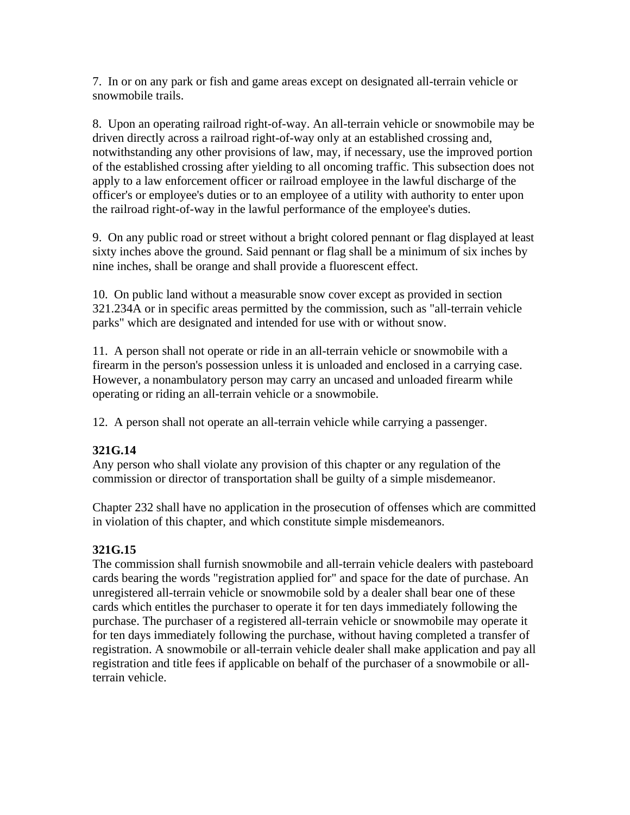7. In or on any park or fish and game areas except on designated all-terrain vehicle or snowmobile trails.

8. Upon an operating railroad right-of-way. An all-terrain vehicle or snowmobile may be driven directly across a railroad right-of-way only at an established crossing and, notwithstanding any other provisions of law, may, if necessary, use the improved portion of the established crossing after yielding to all oncoming traffic. This subsection does not apply to a law enforcement officer or railroad employee in the lawful discharge of the officer's or employee's duties or to an employee of a utility with authority to enter upon the railroad right-of-way in the lawful performance of the employee's duties.

9. On any public road or street without a bright colored pennant or flag displayed at least sixty inches above the ground. Said pennant or flag shall be a minimum of six inches by nine inches, shall be orange and shall provide a fluorescent effect.

10. On public land without a measurable snow cover except as provided in section 321.234A or in specific areas permitted by the commission, such as "all-terrain vehicle parks" which are designated and intended for use with or without snow.

11. A person shall not operate or ride in an all-terrain vehicle or snowmobile with a firearm in the person's possession unless it is unloaded and enclosed in a carrying case. However, a nonambulatory person may carry an uncased and unloaded firearm while operating or riding an all-terrain vehicle or a snowmobile.

12. A person shall not operate an all-terrain vehicle while carrying a passenger.

#### **321G.14**

Any person who shall violate any provision of this chapter or any regulation of the commission or director of transportation shall be guilty of a simple misdemeanor.

Chapter 232 shall have no application in the prosecution of offenses which are committed in violation of this chapter, and which constitute simple misdemeanors.

#### **321G.15**

The commission shall furnish snowmobile and all-terrain vehicle dealers with pasteboard cards bearing the words "registration applied for" and space for the date of purchase. An unregistered all-terrain vehicle or snowmobile sold by a dealer shall bear one of these cards which entitles the purchaser to operate it for ten days immediately following the purchase. The purchaser of a registered all-terrain vehicle or snowmobile may operate it for ten days immediately following the purchase, without having completed a transfer of registration. A snowmobile or all-terrain vehicle dealer shall make application and pay all registration and title fees if applicable on behalf of the purchaser of a snowmobile or allterrain vehicle.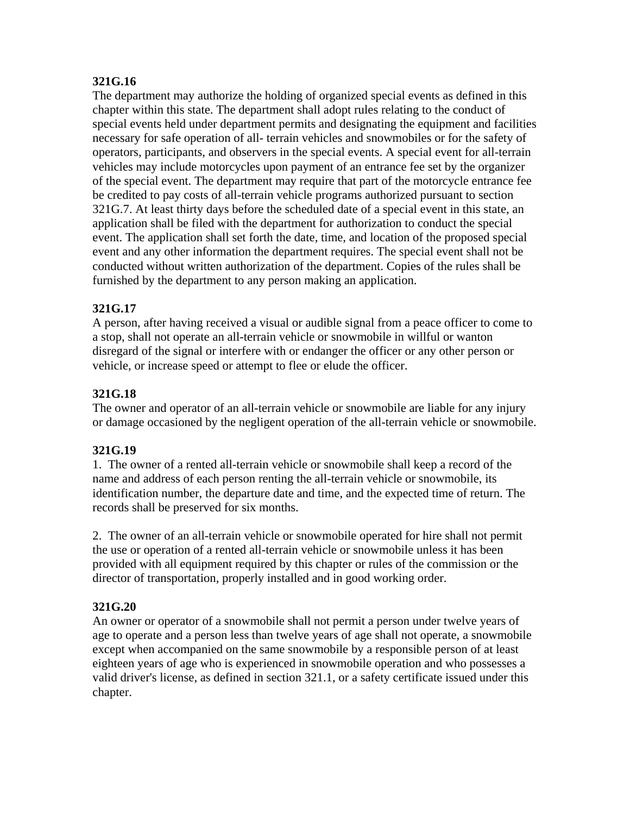### **321G.16**

The department may authorize the holding of organized special events as defined in this chapter within this state. The department shall adopt rules relating to the conduct of special events held under department permits and designating the equipment and facilities necessary for safe operation of all- terrain vehicles and snowmobiles or for the safety of operators, participants, and observers in the special events. A special event for all-terrain vehicles may include motorcycles upon payment of an entrance fee set by the organizer of the special event. The department may require that part of the motorcycle entrance fee be credited to pay costs of all-terrain vehicle programs authorized pursuant to section 321G.7. At least thirty days before the scheduled date of a special event in this state, an application shall be filed with the department for authorization to conduct the special event. The application shall set forth the date, time, and location of the proposed special event and any other information the department requires. The special event shall not be conducted without written authorization of the department. Copies of the rules shall be furnished by the department to any person making an application.

## **321G.17**

A person, after having received a visual or audible signal from a peace officer to come to a stop, shall not operate an all-terrain vehicle or snowmobile in willful or wanton disregard of the signal or interfere with or endanger the officer or any other person or vehicle, or increase speed or attempt to flee or elude the officer.

#### **321G.18**

The owner and operator of an all-terrain vehicle or snowmobile are liable for any injury or damage occasioned by the negligent operation of the all-terrain vehicle or snowmobile.

#### **321G.19**

1. The owner of a rented all-terrain vehicle or snowmobile shall keep a record of the name and address of each person renting the all-terrain vehicle or snowmobile, its identification number, the departure date and time, and the expected time of return. The records shall be preserved for six months.

2. The owner of an all-terrain vehicle or snowmobile operated for hire shall not permit the use or operation of a rented all-terrain vehicle or snowmobile unless it has been provided with all equipment required by this chapter or rules of the commission or the director of transportation, properly installed and in good working order.

## **321G.20**

An owner or operator of a snowmobile shall not permit a person under twelve years of age to operate and a person less than twelve years of age shall not operate, a snowmobile except when accompanied on the same snowmobile by a responsible person of at least eighteen years of age who is experienced in snowmobile operation and who possesses a valid driver's license, as defined in section 321.1, or a safety certificate issued under this chapter.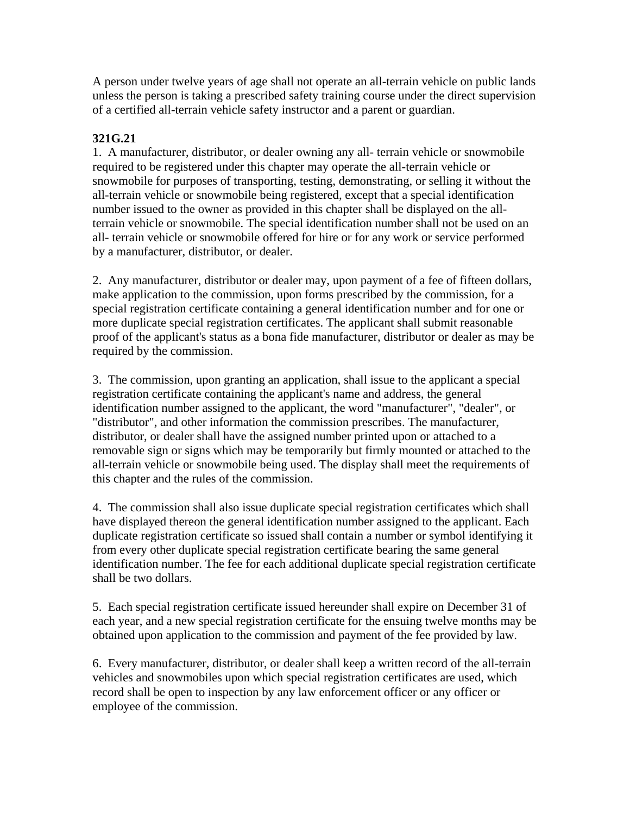A person under twelve years of age shall not operate an all-terrain vehicle on public lands unless the person is taking a prescribed safety training course under the direct supervision of a certified all-terrain vehicle safety instructor and a parent or guardian.

### **321G.21**

1. A manufacturer, distributor, or dealer owning any all- terrain vehicle or snowmobile required to be registered under this chapter may operate the all-terrain vehicle or snowmobile for purposes of transporting, testing, demonstrating, or selling it without the all-terrain vehicle or snowmobile being registered, except that a special identification number issued to the owner as provided in this chapter shall be displayed on the allterrain vehicle or snowmobile. The special identification number shall not be used on an all- terrain vehicle or snowmobile offered for hire or for any work or service performed by a manufacturer, distributor, or dealer.

2. Any manufacturer, distributor or dealer may, upon payment of a fee of fifteen dollars, make application to the commission, upon forms prescribed by the commission, for a special registration certificate containing a general identification number and for one or more duplicate special registration certificates. The applicant shall submit reasonable proof of the applicant's status as a bona fide manufacturer, distributor or dealer as may be required by the commission.

3. The commission, upon granting an application, shall issue to the applicant a special registration certificate containing the applicant's name and address, the general identification number assigned to the applicant, the word "manufacturer", "dealer", or "distributor", and other information the commission prescribes. The manufacturer, distributor, or dealer shall have the assigned number printed upon or attached to a removable sign or signs which may be temporarily but firmly mounted or attached to the all-terrain vehicle or snowmobile being used. The display shall meet the requirements of this chapter and the rules of the commission.

4. The commission shall also issue duplicate special registration certificates which shall have displayed thereon the general identification number assigned to the applicant. Each duplicate registration certificate so issued shall contain a number or symbol identifying it from every other duplicate special registration certificate bearing the same general identification number. The fee for each additional duplicate special registration certificate shall be two dollars.

5. Each special registration certificate issued hereunder shall expire on December 31 of each year, and a new special registration certificate for the ensuing twelve months may be obtained upon application to the commission and payment of the fee provided by law.

6. Every manufacturer, distributor, or dealer shall keep a written record of the all-terrain vehicles and snowmobiles upon which special registration certificates are used, which record shall be open to inspection by any law enforcement officer or any officer or employee of the commission.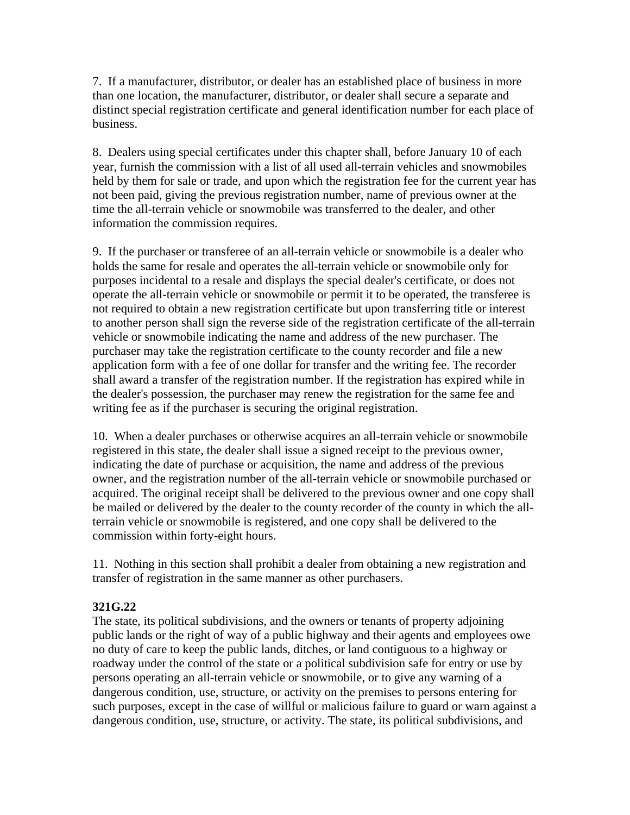7. If a manufacturer, distributor, or dealer has an established place of business in more than one location, the manufacturer, distributor, or dealer shall secure a separate and distinct special registration certificate and general identification number for each place of business.

8. Dealers using special certificates under this chapter shall, before January 10 of each year, furnish the commission with a list of all used all-terrain vehicles and snowmobiles held by them for sale or trade, and upon which the registration fee for the current year has not been paid, giving the previous registration number, name of previous owner at the time the all-terrain vehicle or snowmobile was transferred to the dealer, and other information the commission requires.

9. If the purchaser or transferee of an all-terrain vehicle or snowmobile is a dealer who holds the same for resale and operates the all-terrain vehicle or snowmobile only for purposes incidental to a resale and displays the special dealer's certificate, or does not operate the all-terrain vehicle or snowmobile or permit it to be operated, the transferee is not required to obtain a new registration certificate but upon transferring title or interest to another person shall sign the reverse side of the registration certificate of the all-terrain vehicle or snowmobile indicating the name and address of the new purchaser. The purchaser may take the registration certificate to the county recorder and file a new application form with a fee of one dollar for transfer and the writing fee. The recorder shall award a transfer of the registration number. If the registration has expired while in the dealer's possession, the purchaser may renew the registration for the same fee and writing fee as if the purchaser is securing the original registration.

10. When a dealer purchases or otherwise acquires an all-terrain vehicle or snowmobile registered in this state, the dealer shall issue a signed receipt to the previous owner, indicating the date of purchase or acquisition, the name and address of the previous owner, and the registration number of the all-terrain vehicle or snowmobile purchased or acquired. The original receipt shall be delivered to the previous owner and one copy shall be mailed or delivered by the dealer to the county recorder of the county in which the allterrain vehicle or snowmobile is registered, and one copy shall be delivered to the commission within forty-eight hours.

11. Nothing in this section shall prohibit a dealer from obtaining a new registration and transfer of registration in the same manner as other purchasers.

#### **321G.22**

The state, its political subdivisions, and the owners or tenants of property adjoining public lands or the right of way of a public highway and their agents and employees owe no duty of care to keep the public lands, ditches, or land contiguous to a highway or roadway under the control of the state or a political subdivision safe for entry or use by persons operating an all-terrain vehicle or snowmobile, or to give any warning of a dangerous condition, use, structure, or activity on the premises to persons entering for such purposes, except in the case of willful or malicious failure to guard or warn against a dangerous condition, use, structure, or activity. The state, its political subdivisions, and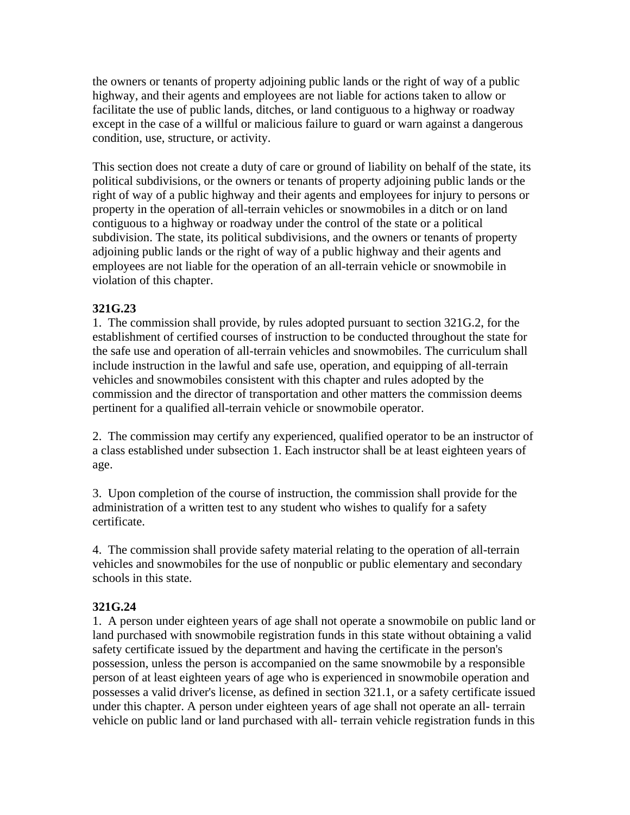the owners or tenants of property adjoining public lands or the right of way of a public highway, and their agents and employees are not liable for actions taken to allow or facilitate the use of public lands, ditches, or land contiguous to a highway or roadway except in the case of a willful or malicious failure to guard or warn against a dangerous condition, use, structure, or activity.

This section does not create a duty of care or ground of liability on behalf of the state, its political subdivisions, or the owners or tenants of property adjoining public lands or the right of way of a public highway and their agents and employees for injury to persons or property in the operation of all-terrain vehicles or snowmobiles in a ditch or on land contiguous to a highway or roadway under the control of the state or a political subdivision. The state, its political subdivisions, and the owners or tenants of property adjoining public lands or the right of way of a public highway and their agents and employees are not liable for the operation of an all-terrain vehicle or snowmobile in violation of this chapter.

## **321G.23**

1. The commission shall provide, by rules adopted pursuant to section 321G.2, for the establishment of certified courses of instruction to be conducted throughout the state for the safe use and operation of all-terrain vehicles and snowmobiles. The curriculum shall include instruction in the lawful and safe use, operation, and equipping of all-terrain vehicles and snowmobiles consistent with this chapter and rules adopted by the commission and the director of transportation and other matters the commission deems pertinent for a qualified all-terrain vehicle or snowmobile operator.

2. The commission may certify any experienced, qualified operator to be an instructor of a class established under subsection 1. Each instructor shall be at least eighteen years of age.

3. Upon completion of the course of instruction, the commission shall provide for the administration of a written test to any student who wishes to qualify for a safety certificate.

4. The commission shall provide safety material relating to the operation of all-terrain vehicles and snowmobiles for the use of nonpublic or public elementary and secondary schools in this state.

#### **321G.24**

1. A person under eighteen years of age shall not operate a snowmobile on public land or land purchased with snowmobile registration funds in this state without obtaining a valid safety certificate issued by the department and having the certificate in the person's possession, unless the person is accompanied on the same snowmobile by a responsible person of at least eighteen years of age who is experienced in snowmobile operation and possesses a valid driver's license, as defined in section 321.1, or a safety certificate issued under this chapter. A person under eighteen years of age shall not operate an all- terrain vehicle on public land or land purchased with all- terrain vehicle registration funds in this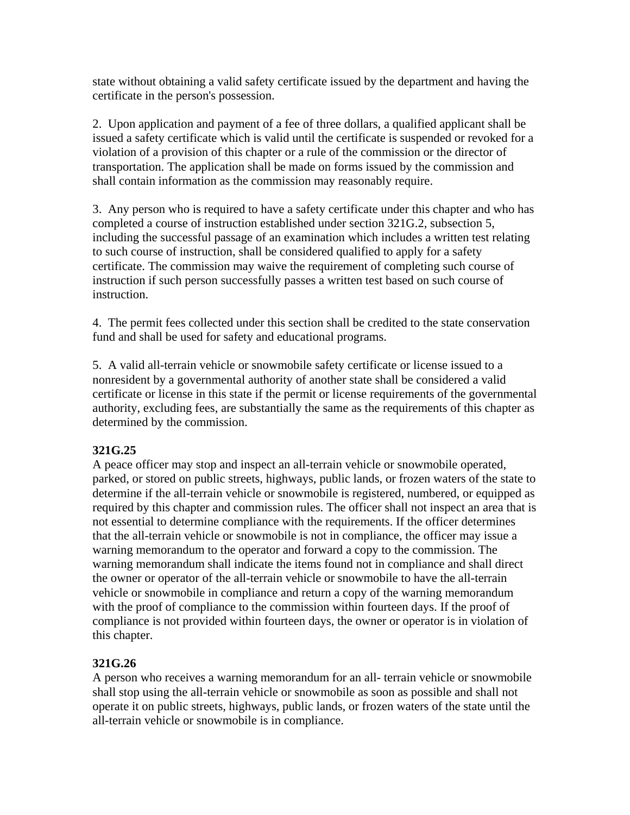state without obtaining a valid safety certificate issued by the department and having the certificate in the person's possession.

2. Upon application and payment of a fee of three dollars, a qualified applicant shall be issued a safety certificate which is valid until the certificate is suspended or revoked for a violation of a provision of this chapter or a rule of the commission or the director of transportation. The application shall be made on forms issued by the commission and shall contain information as the commission may reasonably require.

3. Any person who is required to have a safety certificate under this chapter and who has completed a course of instruction established under section 321G.2, subsection 5, including the successful passage of an examination which includes a written test relating to such course of instruction, shall be considered qualified to apply for a safety certificate. The commission may waive the requirement of completing such course of instruction if such person successfully passes a written test based on such course of instruction.

4. The permit fees collected under this section shall be credited to the state conservation fund and shall be used for safety and educational programs.

5. A valid all-terrain vehicle or snowmobile safety certificate or license issued to a nonresident by a governmental authority of another state shall be considered a valid certificate or license in this state if the permit or license requirements of the governmental authority, excluding fees, are substantially the same as the requirements of this chapter as determined by the commission.

#### **321G.25**

A peace officer may stop and inspect an all-terrain vehicle or snowmobile operated, parked, or stored on public streets, highways, public lands, or frozen waters of the state to determine if the all-terrain vehicle or snowmobile is registered, numbered, or equipped as required by this chapter and commission rules. The officer shall not inspect an area that is not essential to determine compliance with the requirements. If the officer determines that the all-terrain vehicle or snowmobile is not in compliance, the officer may issue a warning memorandum to the operator and forward a copy to the commission. The warning memorandum shall indicate the items found not in compliance and shall direct the owner or operator of the all-terrain vehicle or snowmobile to have the all-terrain vehicle or snowmobile in compliance and return a copy of the warning memorandum with the proof of compliance to the commission within fourteen days. If the proof of compliance is not provided within fourteen days, the owner or operator is in violation of this chapter.

## **321G.26**

A person who receives a warning memorandum for an all- terrain vehicle or snowmobile shall stop using the all-terrain vehicle or snowmobile as soon as possible and shall not operate it on public streets, highways, public lands, or frozen waters of the state until the all-terrain vehicle or snowmobile is in compliance.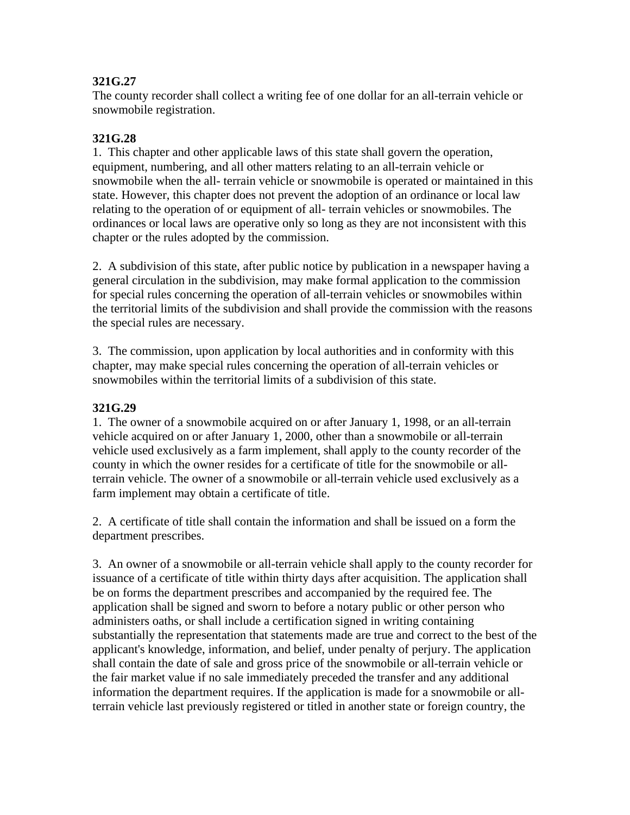### **321G.27**

The county recorder shall collect a writing fee of one dollar for an all-terrain vehicle or snowmobile registration.

### **321G.28**

1. This chapter and other applicable laws of this state shall govern the operation, equipment, numbering, and all other matters relating to an all-terrain vehicle or snowmobile when the all- terrain vehicle or snowmobile is operated or maintained in this state. However, this chapter does not prevent the adoption of an ordinance or local law relating to the operation of or equipment of all- terrain vehicles or snowmobiles. The ordinances or local laws are operative only so long as they are not inconsistent with this chapter or the rules adopted by the commission.

2. A subdivision of this state, after public notice by publication in a newspaper having a general circulation in the subdivision, may make formal application to the commission for special rules concerning the operation of all-terrain vehicles or snowmobiles within the territorial limits of the subdivision and shall provide the commission with the reasons the special rules are necessary.

3. The commission, upon application by local authorities and in conformity with this chapter, may make special rules concerning the operation of all-terrain vehicles or snowmobiles within the territorial limits of a subdivision of this state.

#### **321G.29**

1. The owner of a snowmobile acquired on or after January 1, 1998, or an all-terrain vehicle acquired on or after January 1, 2000, other than a snowmobile or all-terrain vehicle used exclusively as a farm implement, shall apply to the county recorder of the county in which the owner resides for a certificate of title for the snowmobile or allterrain vehicle. The owner of a snowmobile or all-terrain vehicle used exclusively as a farm implement may obtain a certificate of title.

2. A certificate of title shall contain the information and shall be issued on a form the department prescribes.

3. An owner of a snowmobile or all-terrain vehicle shall apply to the county recorder for issuance of a certificate of title within thirty days after acquisition. The application shall be on forms the department prescribes and accompanied by the required fee. The application shall be signed and sworn to before a notary public or other person who administers oaths, or shall include a certification signed in writing containing substantially the representation that statements made are true and correct to the best of the applicant's knowledge, information, and belief, under penalty of perjury. The application shall contain the date of sale and gross price of the snowmobile or all-terrain vehicle or the fair market value if no sale immediately preceded the transfer and any additional information the department requires. If the application is made for a snowmobile or allterrain vehicle last previously registered or titled in another state or foreign country, the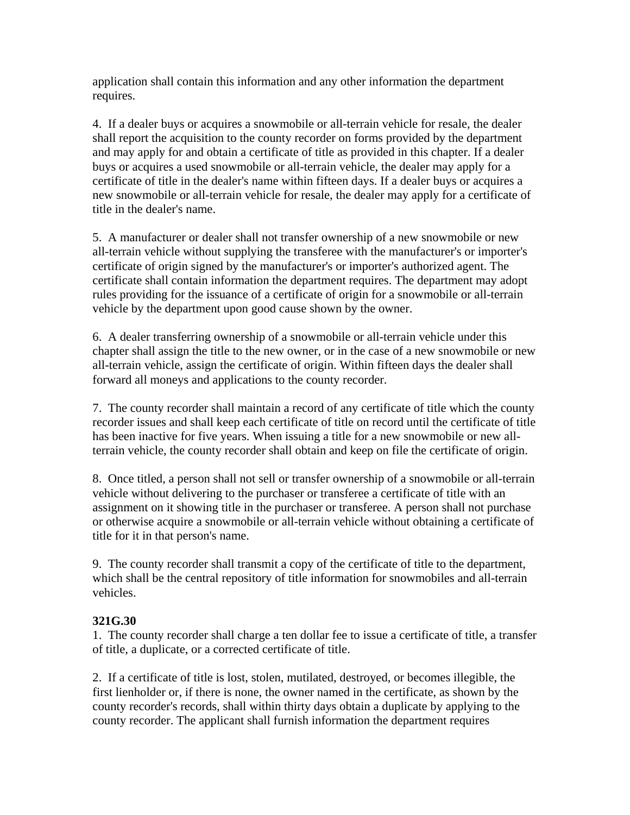application shall contain this information and any other information the department requires.

4. If a dealer buys or acquires a snowmobile or all-terrain vehicle for resale, the dealer shall report the acquisition to the county recorder on forms provided by the department and may apply for and obtain a certificate of title as provided in this chapter. If a dealer buys or acquires a used snowmobile or all-terrain vehicle, the dealer may apply for a certificate of title in the dealer's name within fifteen days. If a dealer buys or acquires a new snowmobile or all-terrain vehicle for resale, the dealer may apply for a certificate of title in the dealer's name.

5. A manufacturer or dealer shall not transfer ownership of a new snowmobile or new all-terrain vehicle without supplying the transferee with the manufacturer's or importer's certificate of origin signed by the manufacturer's or importer's authorized agent. The certificate shall contain information the department requires. The department may adopt rules providing for the issuance of a certificate of origin for a snowmobile or all-terrain vehicle by the department upon good cause shown by the owner.

6. A dealer transferring ownership of a snowmobile or all-terrain vehicle under this chapter shall assign the title to the new owner, or in the case of a new snowmobile or new all-terrain vehicle, assign the certificate of origin. Within fifteen days the dealer shall forward all moneys and applications to the county recorder.

7. The county recorder shall maintain a record of any certificate of title which the county recorder issues and shall keep each certificate of title on record until the certificate of title has been inactive for five years. When issuing a title for a new snowmobile or new allterrain vehicle, the county recorder shall obtain and keep on file the certificate of origin.

8. Once titled, a person shall not sell or transfer ownership of a snowmobile or all-terrain vehicle without delivering to the purchaser or transferee a certificate of title with an assignment on it showing title in the purchaser or transferee. A person shall not purchase or otherwise acquire a snowmobile or all-terrain vehicle without obtaining a certificate of title for it in that person's name.

9. The county recorder shall transmit a copy of the certificate of title to the department, which shall be the central repository of title information for snowmobiles and all-terrain vehicles.

#### **321G.30**

1. The county recorder shall charge a ten dollar fee to issue a certificate of title, a transfer of title, a duplicate, or a corrected certificate of title.

2. If a certificate of title is lost, stolen, mutilated, destroyed, or becomes illegible, the first lienholder or, if there is none, the owner named in the certificate, as shown by the county recorder's records, shall within thirty days obtain a duplicate by applying to the county recorder. The applicant shall furnish information the department requires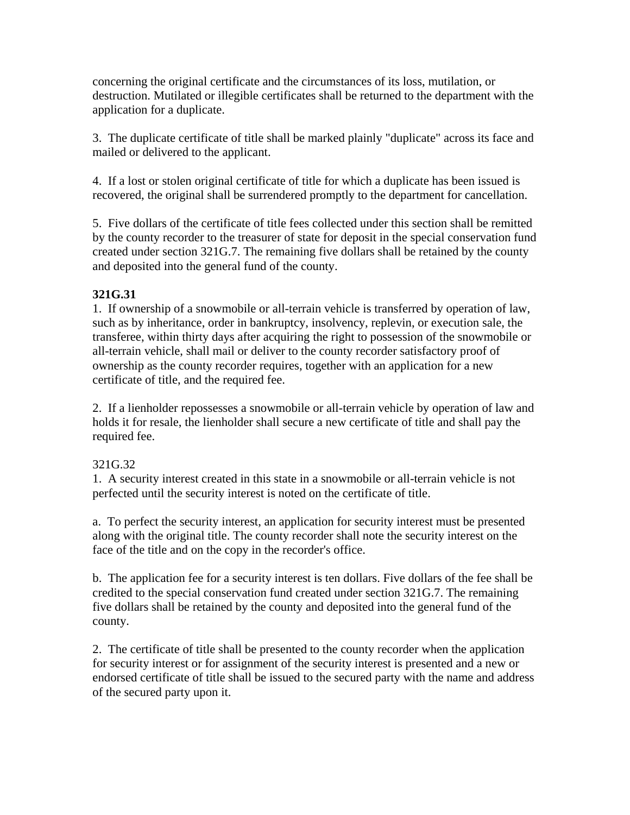concerning the original certificate and the circumstances of its loss, mutilation, or destruction. Mutilated or illegible certificates shall be returned to the department with the application for a duplicate.

3. The duplicate certificate of title shall be marked plainly "duplicate" across its face and mailed or delivered to the applicant.

4. If a lost or stolen original certificate of title for which a duplicate has been issued is recovered, the original shall be surrendered promptly to the department for cancellation.

5. Five dollars of the certificate of title fees collected under this section shall be remitted by the county recorder to the treasurer of state for deposit in the special conservation fund created under section 321G.7. The remaining five dollars shall be retained by the county and deposited into the general fund of the county.

## **321G.31**

1. If ownership of a snowmobile or all-terrain vehicle is transferred by operation of law, such as by inheritance, order in bankruptcy, insolvency, replevin, or execution sale, the transferee, within thirty days after acquiring the right to possession of the snowmobile or all-terrain vehicle, shall mail or deliver to the county recorder satisfactory proof of ownership as the county recorder requires, together with an application for a new certificate of title, and the required fee.

2. If a lienholder repossesses a snowmobile or all-terrain vehicle by operation of law and holds it for resale, the lienholder shall secure a new certificate of title and shall pay the required fee.

#### 321G.32

1. A security interest created in this state in a snowmobile or all-terrain vehicle is not perfected until the security interest is noted on the certificate of title.

a. To perfect the security interest, an application for security interest must be presented along with the original title. The county recorder shall note the security interest on the face of the title and on the copy in the recorder's office.

b. The application fee for a security interest is ten dollars. Five dollars of the fee shall be credited to the special conservation fund created under section 321G.7. The remaining five dollars shall be retained by the county and deposited into the general fund of the county.

2. The certificate of title shall be presented to the county recorder when the application for security interest or for assignment of the security interest is presented and a new or endorsed certificate of title shall be issued to the secured party with the name and address of the secured party upon it.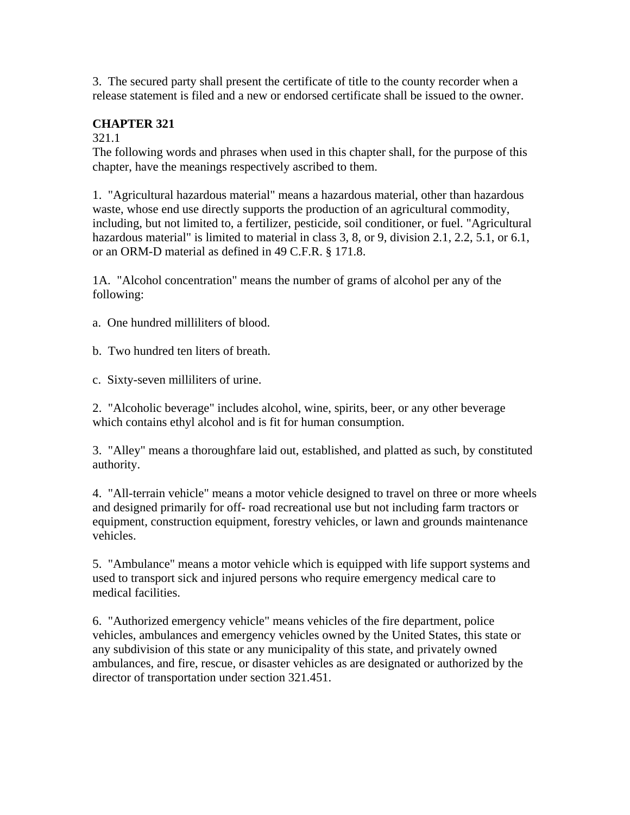3. The secured party shall present the certificate of title to the county recorder when a release statement is filed and a new or endorsed certificate shall be issued to the owner.

## **CHAPTER 321**

#### 321.1

The following words and phrases when used in this chapter shall, for the purpose of this chapter, have the meanings respectively ascribed to them.

1. "Agricultural hazardous material" means a hazardous material, other than hazardous waste, whose end use directly supports the production of an agricultural commodity, including, but not limited to, a fertilizer, pesticide, soil conditioner, or fuel. "Agricultural hazardous material" is limited to material in class 3, 8, or 9, division 2.1, 2.2, 5.1, or 6.1, or an ORM-D material as defined in 49 C.F.R. § 171.8.

1A. "Alcohol concentration" means the number of grams of alcohol per any of the following:

a. One hundred milliliters of blood.

b. Two hundred ten liters of breath.

c. Sixty-seven milliliters of urine.

2. "Alcoholic beverage" includes alcohol, wine, spirits, beer, or any other beverage which contains ethyl alcohol and is fit for human consumption.

3. "Alley" means a thoroughfare laid out, established, and platted as such, by constituted authority.

4. "All-terrain vehicle" means a motor vehicle designed to travel on three or more wheels and designed primarily for off- road recreational use but not including farm tractors or equipment, construction equipment, forestry vehicles, or lawn and grounds maintenance vehicles.

5. "Ambulance" means a motor vehicle which is equipped with life support systems and used to transport sick and injured persons who require emergency medical care to medical facilities.

6. "Authorized emergency vehicle" means vehicles of the fire department, police vehicles, ambulances and emergency vehicles owned by the United States, this state or any subdivision of this state or any municipality of this state, and privately owned ambulances, and fire, rescue, or disaster vehicles as are designated or authorized by the director of transportation under section 321.451.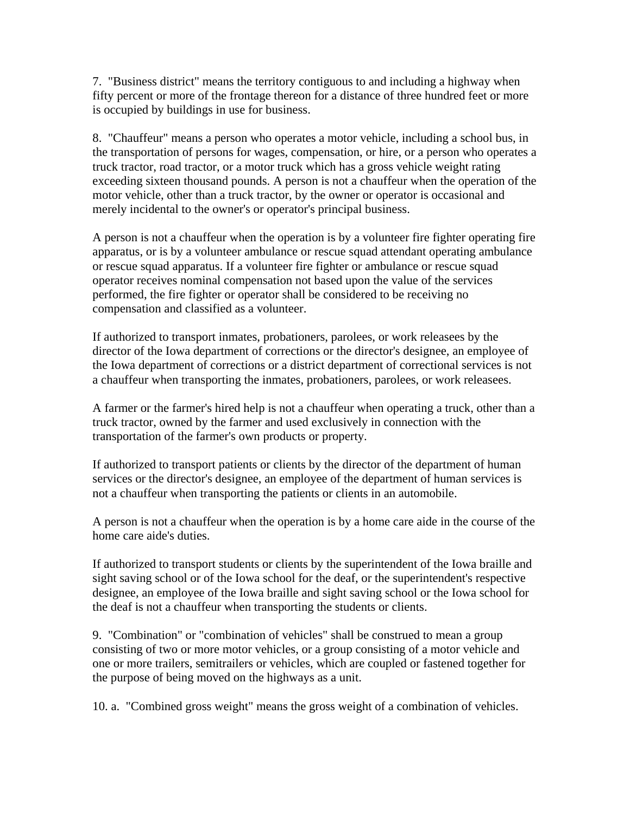7. "Business district" means the territory contiguous to and including a highway when fifty percent or more of the frontage thereon for a distance of three hundred feet or more is occupied by buildings in use for business.

8. "Chauffeur" means a person who operates a motor vehicle, including a school bus, in the transportation of persons for wages, compensation, or hire, or a person who operates a truck tractor, road tractor, or a motor truck which has a gross vehicle weight rating exceeding sixteen thousand pounds. A person is not a chauffeur when the operation of the motor vehicle, other than a truck tractor, by the owner or operator is occasional and merely incidental to the owner's or operator's principal business.

A person is not a chauffeur when the operation is by a volunteer fire fighter operating fire apparatus, or is by a volunteer ambulance or rescue squad attendant operating ambulance or rescue squad apparatus. If a volunteer fire fighter or ambulance or rescue squad operator receives nominal compensation not based upon the value of the services performed, the fire fighter or operator shall be considered to be receiving no compensation and classified as a volunteer.

If authorized to transport inmates, probationers, parolees, or work releasees by the director of the Iowa department of corrections or the director's designee, an employee of the Iowa department of corrections or a district department of correctional services is not a chauffeur when transporting the inmates, probationers, parolees, or work releasees.

A farmer or the farmer's hired help is not a chauffeur when operating a truck, other than a truck tractor, owned by the farmer and used exclusively in connection with the transportation of the farmer's own products or property.

If authorized to transport patients or clients by the director of the department of human services or the director's designee, an employee of the department of human services is not a chauffeur when transporting the patients or clients in an automobile.

A person is not a chauffeur when the operation is by a home care aide in the course of the home care aide's duties.

If authorized to transport students or clients by the superintendent of the Iowa braille and sight saving school or of the Iowa school for the deaf, or the superintendent's respective designee, an employee of the Iowa braille and sight saving school or the Iowa school for the deaf is not a chauffeur when transporting the students or clients.

9. "Combination" or "combination of vehicles" shall be construed to mean a group consisting of two or more motor vehicles, or a group consisting of a motor vehicle and one or more trailers, semitrailers or vehicles, which are coupled or fastened together for the purpose of being moved on the highways as a unit.

10. a. "Combined gross weight" means the gross weight of a combination of vehicles.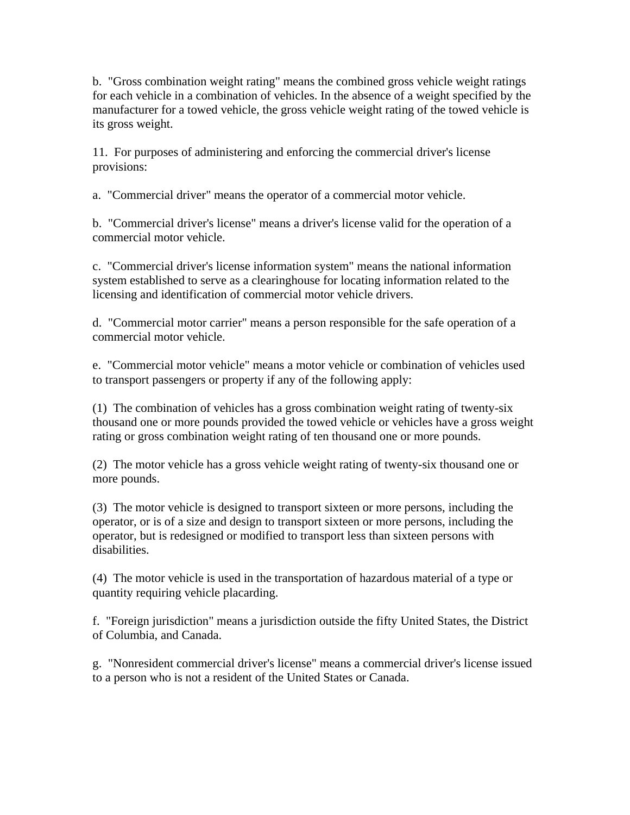b. "Gross combination weight rating" means the combined gross vehicle weight ratings for each vehicle in a combination of vehicles. In the absence of a weight specified by the manufacturer for a towed vehicle, the gross vehicle weight rating of the towed vehicle is its gross weight.

11. For purposes of administering and enforcing the commercial driver's license provisions:

a. "Commercial driver" means the operator of a commercial motor vehicle.

b. "Commercial driver's license" means a driver's license valid for the operation of a commercial motor vehicle.

c. "Commercial driver's license information system" means the national information system established to serve as a clearinghouse for locating information related to the licensing and identification of commercial motor vehicle drivers.

d. "Commercial motor carrier" means a person responsible for the safe operation of a commercial motor vehicle.

e. "Commercial motor vehicle" means a motor vehicle or combination of vehicles used to transport passengers or property if any of the following apply:

(1) The combination of vehicles has a gross combination weight rating of twenty-six thousand one or more pounds provided the towed vehicle or vehicles have a gross weight rating or gross combination weight rating of ten thousand one or more pounds.

(2) The motor vehicle has a gross vehicle weight rating of twenty-six thousand one or more pounds.

(3) The motor vehicle is designed to transport sixteen or more persons, including the operator, or is of a size and design to transport sixteen or more persons, including the operator, but is redesigned or modified to transport less than sixteen persons with disabilities.

(4) The motor vehicle is used in the transportation of hazardous material of a type or quantity requiring vehicle placarding.

f. "Foreign jurisdiction" means a jurisdiction outside the fifty United States, the District of Columbia, and Canada.

g. "Nonresident commercial driver's license" means a commercial driver's license issued to a person who is not a resident of the United States or Canada.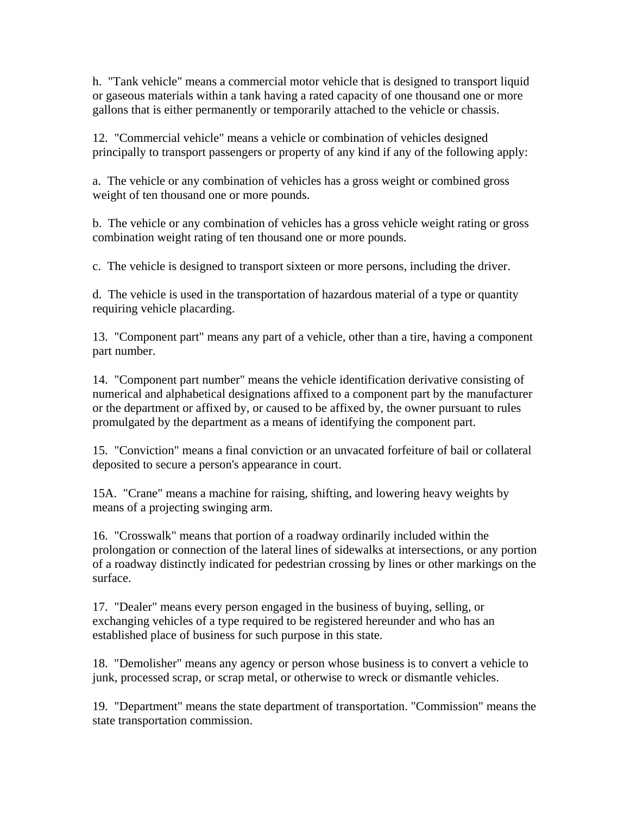h. "Tank vehicle" means a commercial motor vehicle that is designed to transport liquid or gaseous materials within a tank having a rated capacity of one thousand one or more gallons that is either permanently or temporarily attached to the vehicle or chassis.

12. "Commercial vehicle" means a vehicle or combination of vehicles designed principally to transport passengers or property of any kind if any of the following apply:

a. The vehicle or any combination of vehicles has a gross weight or combined gross weight of ten thousand one or more pounds.

b. The vehicle or any combination of vehicles has a gross vehicle weight rating or gross combination weight rating of ten thousand one or more pounds.

c. The vehicle is designed to transport sixteen or more persons, including the driver.

d. The vehicle is used in the transportation of hazardous material of a type or quantity requiring vehicle placarding.

13. "Component part" means any part of a vehicle, other than a tire, having a component part number.

14. "Component part number" means the vehicle identification derivative consisting of numerical and alphabetical designations affixed to a component part by the manufacturer or the department or affixed by, or caused to be affixed by, the owner pursuant to rules promulgated by the department as a means of identifying the component part.

15. "Conviction" means a final conviction or an unvacated forfeiture of bail or collateral deposited to secure a person's appearance in court.

15A. "Crane" means a machine for raising, shifting, and lowering heavy weights by means of a projecting swinging arm.

16. "Crosswalk" means that portion of a roadway ordinarily included within the prolongation or connection of the lateral lines of sidewalks at intersections, or any portion of a roadway distinctly indicated for pedestrian crossing by lines or other markings on the surface.

17. "Dealer" means every person engaged in the business of buying, selling, or exchanging vehicles of a type required to be registered hereunder and who has an established place of business for such purpose in this state.

18. "Demolisher" means any agency or person whose business is to convert a vehicle to junk, processed scrap, or scrap metal, or otherwise to wreck or dismantle vehicles.

19. "Department" means the state department of transportation. "Commission" means the state transportation commission.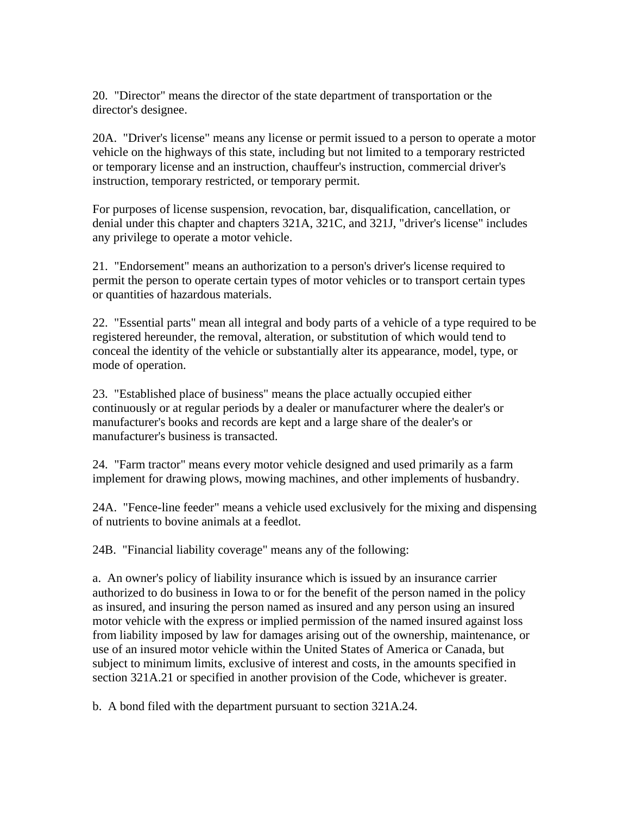20. "Director" means the director of the state department of transportation or the director's designee.

20A. "Driver's license" means any license or permit issued to a person to operate a motor vehicle on the highways of this state, including but not limited to a temporary restricted or temporary license and an instruction, chauffeur's instruction, commercial driver's instruction, temporary restricted, or temporary permit.

For purposes of license suspension, revocation, bar, disqualification, cancellation, or denial under this chapter and chapters 321A, 321C, and 321J, "driver's license" includes any privilege to operate a motor vehicle.

21. "Endorsement" means an authorization to a person's driver's license required to permit the person to operate certain types of motor vehicles or to transport certain types or quantities of hazardous materials.

22. "Essential parts" mean all integral and body parts of a vehicle of a type required to be registered hereunder, the removal, alteration, or substitution of which would tend to conceal the identity of the vehicle or substantially alter its appearance, model, type, or mode of operation.

23. "Established place of business" means the place actually occupied either continuously or at regular periods by a dealer or manufacturer where the dealer's or manufacturer's books and records are kept and a large share of the dealer's or manufacturer's business is transacted.

24. "Farm tractor" means every motor vehicle designed and used primarily as a farm implement for drawing plows, mowing machines, and other implements of husbandry.

24A. "Fence-line feeder" means a vehicle used exclusively for the mixing and dispensing of nutrients to bovine animals at a feedlot.

24B. "Financial liability coverage" means any of the following:

a. An owner's policy of liability insurance which is issued by an insurance carrier authorized to do business in Iowa to or for the benefit of the person named in the policy as insured, and insuring the person named as insured and any person using an insured motor vehicle with the express or implied permission of the named insured against loss from liability imposed by law for damages arising out of the ownership, maintenance, or use of an insured motor vehicle within the United States of America or Canada, but subject to minimum limits, exclusive of interest and costs, in the amounts specified in section 321A.21 or specified in another provision of the Code, whichever is greater.

b. A bond filed with the department pursuant to section 321A.24.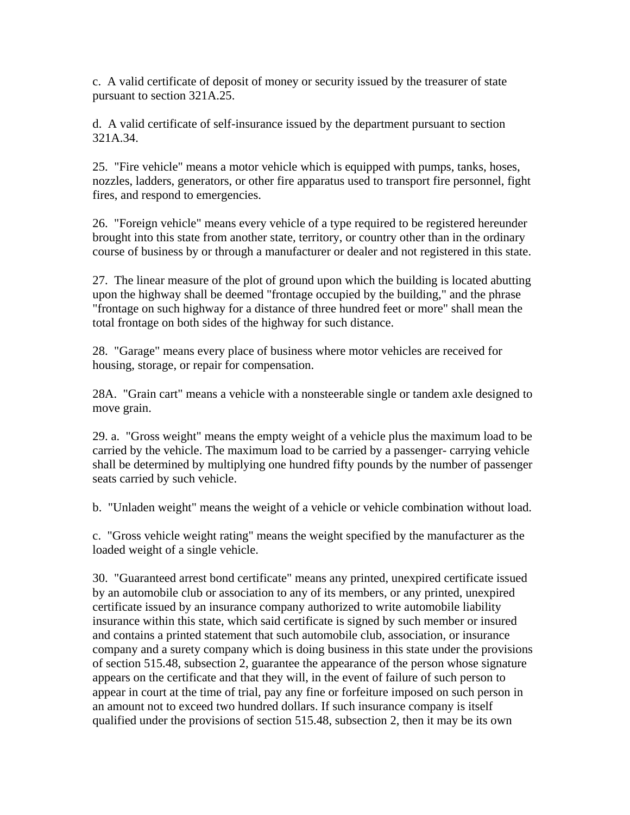c. A valid certificate of deposit of money or security issued by the treasurer of state pursuant to section 321A.25.

d. A valid certificate of self-insurance issued by the department pursuant to section 321A.34.

25. "Fire vehicle" means a motor vehicle which is equipped with pumps, tanks, hoses, nozzles, ladders, generators, or other fire apparatus used to transport fire personnel, fight fires, and respond to emergencies.

26. "Foreign vehicle" means every vehicle of a type required to be registered hereunder brought into this state from another state, territory, or country other than in the ordinary course of business by or through a manufacturer or dealer and not registered in this state.

27. The linear measure of the plot of ground upon which the building is located abutting upon the highway shall be deemed "frontage occupied by the building," and the phrase "frontage on such highway for a distance of three hundred feet or more" shall mean the total frontage on both sides of the highway for such distance.

28. "Garage" means every place of business where motor vehicles are received for housing, storage, or repair for compensation.

28A. "Grain cart" means a vehicle with a nonsteerable single or tandem axle designed to move grain.

29. a. "Gross weight" means the empty weight of a vehicle plus the maximum load to be carried by the vehicle. The maximum load to be carried by a passenger- carrying vehicle shall be determined by multiplying one hundred fifty pounds by the number of passenger seats carried by such vehicle.

b. "Unladen weight" means the weight of a vehicle or vehicle combination without load.

c. "Gross vehicle weight rating" means the weight specified by the manufacturer as the loaded weight of a single vehicle.

30. "Guaranteed arrest bond certificate" means any printed, unexpired certificate issued by an automobile club or association to any of its members, or any printed, unexpired certificate issued by an insurance company authorized to write automobile liability insurance within this state, which said certificate is signed by such member or insured and contains a printed statement that such automobile club, association, or insurance company and a surety company which is doing business in this state under the provisions of section 515.48, subsection 2, guarantee the appearance of the person whose signature appears on the certificate and that they will, in the event of failure of such person to appear in court at the time of trial, pay any fine or forfeiture imposed on such person in an amount not to exceed two hundred dollars. If such insurance company is itself qualified under the provisions of section 515.48, subsection 2, then it may be its own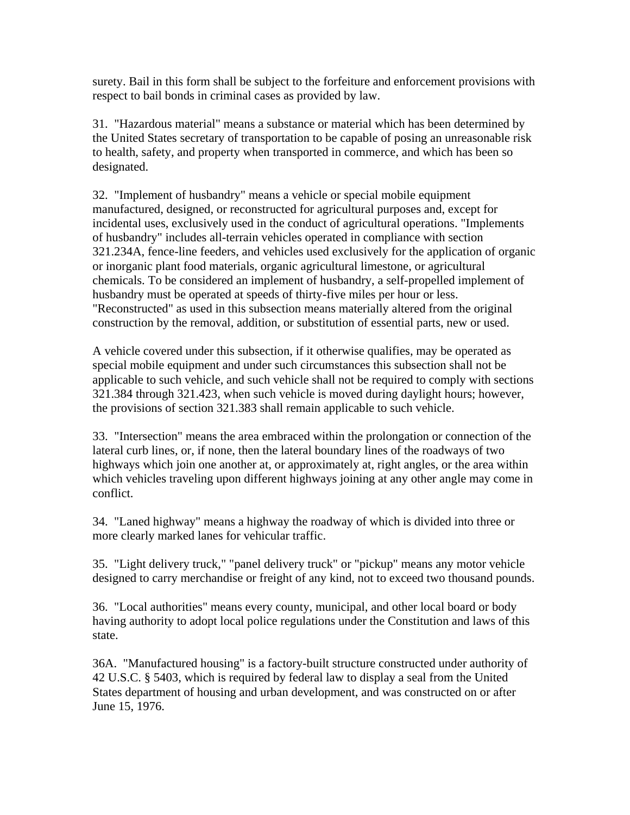surety. Bail in this form shall be subject to the forfeiture and enforcement provisions with respect to bail bonds in criminal cases as provided by law.

31. "Hazardous material" means a substance or material which has been determined by the United States secretary of transportation to be capable of posing an unreasonable risk to health, safety, and property when transported in commerce, and which has been so designated.

32. "Implement of husbandry" means a vehicle or special mobile equipment manufactured, designed, or reconstructed for agricultural purposes and, except for incidental uses, exclusively used in the conduct of agricultural operations. "Implements of husbandry" includes all-terrain vehicles operated in compliance with section 321.234A, fence-line feeders, and vehicles used exclusively for the application of organic or inorganic plant food materials, organic agricultural limestone, or agricultural chemicals. To be considered an implement of husbandry, a self-propelled implement of husbandry must be operated at speeds of thirty-five miles per hour or less. "Reconstructed" as used in this subsection means materially altered from the original construction by the removal, addition, or substitution of essential parts, new or used.

A vehicle covered under this subsection, if it otherwise qualifies, may be operated as special mobile equipment and under such circumstances this subsection shall not be applicable to such vehicle, and such vehicle shall not be required to comply with sections 321.384 through 321.423, when such vehicle is moved during daylight hours; however, the provisions of section 321.383 shall remain applicable to such vehicle.

33. "Intersection" means the area embraced within the prolongation or connection of the lateral curb lines, or, if none, then the lateral boundary lines of the roadways of two highways which join one another at, or approximately at, right angles, or the area within which vehicles traveling upon different highways joining at any other angle may come in conflict.

34. "Laned highway" means a highway the roadway of which is divided into three or more clearly marked lanes for vehicular traffic.

35. "Light delivery truck," "panel delivery truck" or "pickup" means any motor vehicle designed to carry merchandise or freight of any kind, not to exceed two thousand pounds.

36. "Local authorities" means every county, municipal, and other local board or body having authority to adopt local police regulations under the Constitution and laws of this state.

36A. "Manufactured housing" is a factory-built structure constructed under authority of 42 U.S.C. § 5403, which is required by federal law to display a seal from the United States department of housing and urban development, and was constructed on or after June 15, 1976.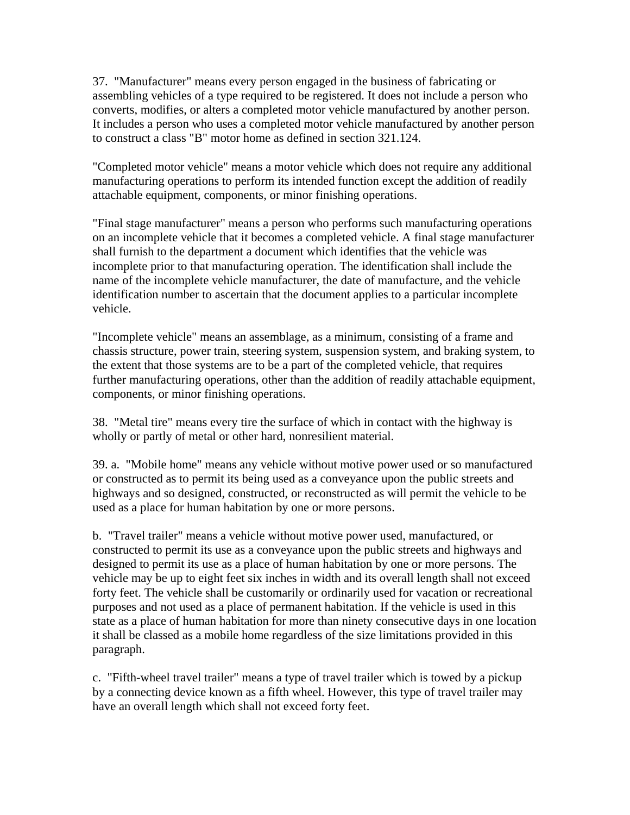37. "Manufacturer" means every person engaged in the business of fabricating or assembling vehicles of a type required to be registered. It does not include a person who converts, modifies, or alters a completed motor vehicle manufactured by another person. It includes a person who uses a completed motor vehicle manufactured by another person to construct a class "B" motor home as defined in section 321.124.

"Completed motor vehicle" means a motor vehicle which does not require any additional manufacturing operations to perform its intended function except the addition of readily attachable equipment, components, or minor finishing operations.

"Final stage manufacturer" means a person who performs such manufacturing operations on an incomplete vehicle that it becomes a completed vehicle. A final stage manufacturer shall furnish to the department a document which identifies that the vehicle was incomplete prior to that manufacturing operation. The identification shall include the name of the incomplete vehicle manufacturer, the date of manufacture, and the vehicle identification number to ascertain that the document applies to a particular incomplete vehicle.

"Incomplete vehicle" means an assemblage, as a minimum, consisting of a frame and chassis structure, power train, steering system, suspension system, and braking system, to the extent that those systems are to be a part of the completed vehicle, that requires further manufacturing operations, other than the addition of readily attachable equipment, components, or minor finishing operations.

38. "Metal tire" means every tire the surface of which in contact with the highway is wholly or partly of metal or other hard, nonresilient material.

39. a. "Mobile home" means any vehicle without motive power used or so manufactured or constructed as to permit its being used as a conveyance upon the public streets and highways and so designed, constructed, or reconstructed as will permit the vehicle to be used as a place for human habitation by one or more persons.

b. "Travel trailer" means a vehicle without motive power used, manufactured, or constructed to permit its use as a conveyance upon the public streets and highways and designed to permit its use as a place of human habitation by one or more persons. The vehicle may be up to eight feet six inches in width and its overall length shall not exceed forty feet. The vehicle shall be customarily or ordinarily used for vacation or recreational purposes and not used as a place of permanent habitation. If the vehicle is used in this state as a place of human habitation for more than ninety consecutive days in one location it shall be classed as a mobile home regardless of the size limitations provided in this paragraph.

c. "Fifth-wheel travel trailer" means a type of travel trailer which is towed by a pickup by a connecting device known as a fifth wheel. However, this type of travel trailer may have an overall length which shall not exceed forty feet.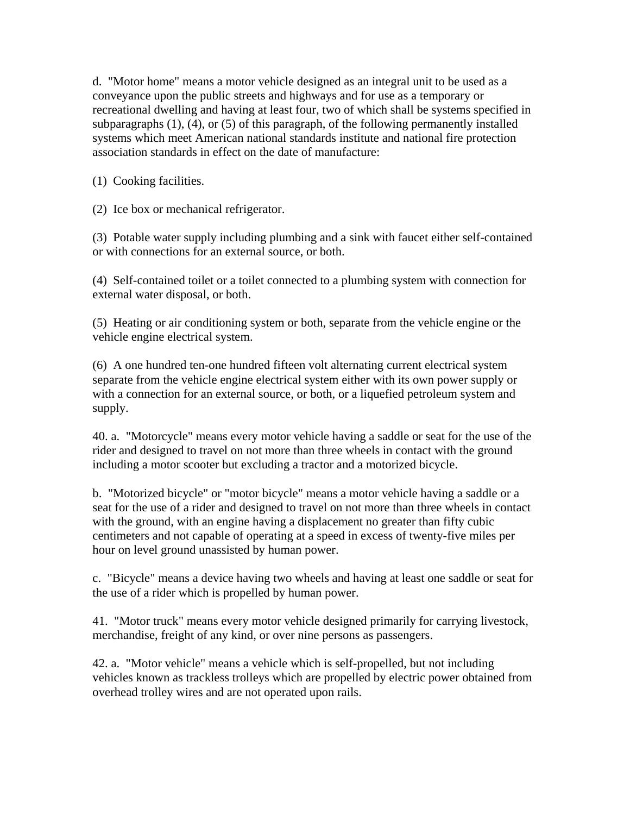d. "Motor home" means a motor vehicle designed as an integral unit to be used as a conveyance upon the public streets and highways and for use as a temporary or recreational dwelling and having at least four, two of which shall be systems specified in subparagraphs (1), (4), or (5) of this paragraph, of the following permanently installed systems which meet American national standards institute and national fire protection association standards in effect on the date of manufacture:

(1) Cooking facilities.

(2) Ice box or mechanical refrigerator.

(3) Potable water supply including plumbing and a sink with faucet either self-contained or with connections for an external source, or both.

(4) Self-contained toilet or a toilet connected to a plumbing system with connection for external water disposal, or both.

(5) Heating or air conditioning system or both, separate from the vehicle engine or the vehicle engine electrical system.

(6) A one hundred ten-one hundred fifteen volt alternating current electrical system separate from the vehicle engine electrical system either with its own power supply or with a connection for an external source, or both, or a liquefied petroleum system and supply.

40. a. "Motorcycle" means every motor vehicle having a saddle or seat for the use of the rider and designed to travel on not more than three wheels in contact with the ground including a motor scooter but excluding a tractor and a motorized bicycle.

b. "Motorized bicycle" or "motor bicycle" means a motor vehicle having a saddle or a seat for the use of a rider and designed to travel on not more than three wheels in contact with the ground, with an engine having a displacement no greater than fifty cubic centimeters and not capable of operating at a speed in excess of twenty-five miles per hour on level ground unassisted by human power.

c. "Bicycle" means a device having two wheels and having at least one saddle or seat for the use of a rider which is propelled by human power.

41. "Motor truck" means every motor vehicle designed primarily for carrying livestock, merchandise, freight of any kind, or over nine persons as passengers.

42. a. "Motor vehicle" means a vehicle which is self-propelled, but not including vehicles known as trackless trolleys which are propelled by electric power obtained from overhead trolley wires and are not operated upon rails.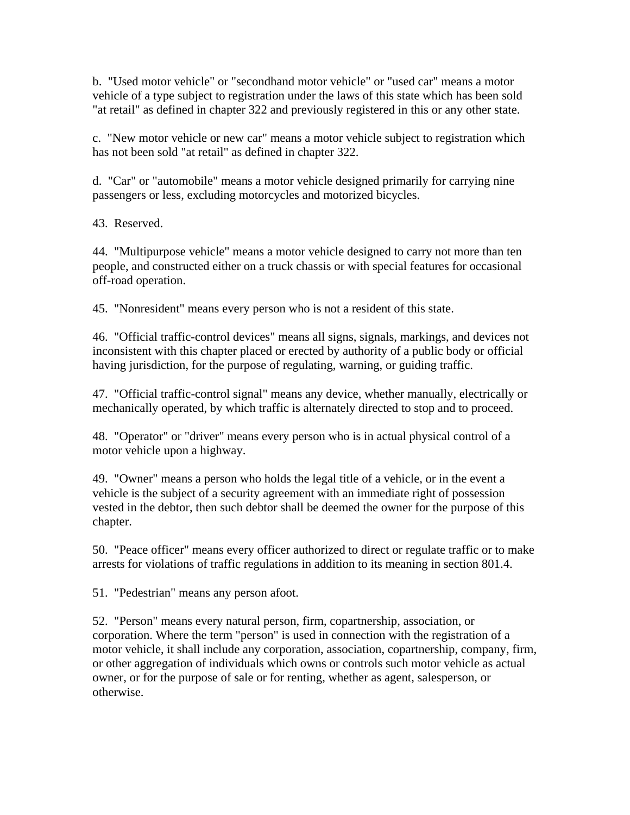b. "Used motor vehicle" or "secondhand motor vehicle" or "used car" means a motor vehicle of a type subject to registration under the laws of this state which has been sold "at retail" as defined in chapter 322 and previously registered in this or any other state.

c. "New motor vehicle or new car" means a motor vehicle subject to registration which has not been sold "at retail" as defined in chapter 322.

d. "Car" or "automobile" means a motor vehicle designed primarily for carrying nine passengers or less, excluding motorcycles and motorized bicycles.

43. Reserved.

44. "Multipurpose vehicle" means a motor vehicle designed to carry not more than ten people, and constructed either on a truck chassis or with special features for occasional off-road operation.

45. "Nonresident" means every person who is not a resident of this state.

46. "Official traffic-control devices" means all signs, signals, markings, and devices not inconsistent with this chapter placed or erected by authority of a public body or official having jurisdiction, for the purpose of regulating, warning, or guiding traffic.

47. "Official traffic-control signal" means any device, whether manually, electrically or mechanically operated, by which traffic is alternately directed to stop and to proceed.

48. "Operator" or "driver" means every person who is in actual physical control of a motor vehicle upon a highway.

49. "Owner" means a person who holds the legal title of a vehicle, or in the event a vehicle is the subject of a security agreement with an immediate right of possession vested in the debtor, then such debtor shall be deemed the owner for the purpose of this chapter.

50. "Peace officer" means every officer authorized to direct or regulate traffic or to make arrests for violations of traffic regulations in addition to its meaning in section 801.4.

51. "Pedestrian" means any person afoot.

52. "Person" means every natural person, firm, copartnership, association, or corporation. Where the term "person" is used in connection with the registration of a motor vehicle, it shall include any corporation, association, copartnership, company, firm, or other aggregation of individuals which owns or controls such motor vehicle as actual owner, or for the purpose of sale or for renting, whether as agent, salesperson, or otherwise.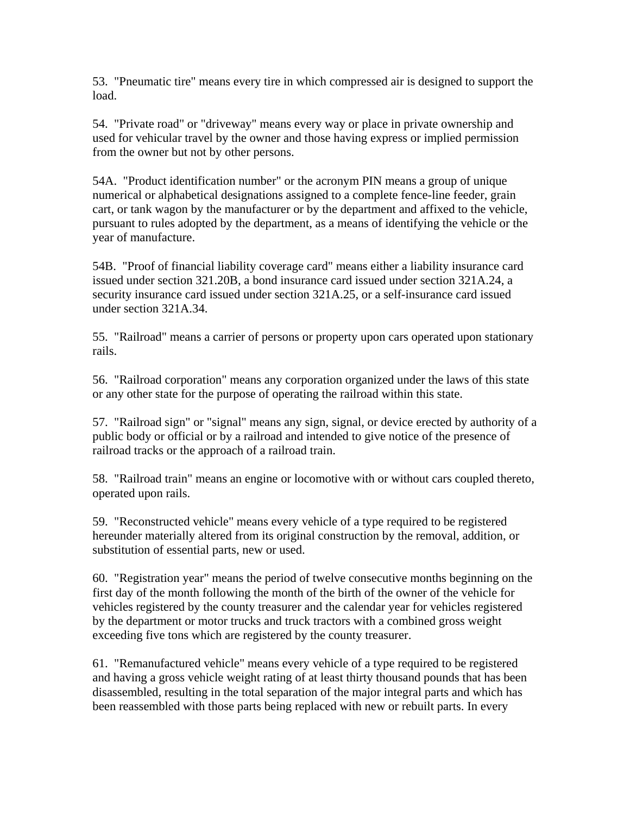53. "Pneumatic tire" means every tire in which compressed air is designed to support the load.

54. "Private road" or "driveway" means every way or place in private ownership and used for vehicular travel by the owner and those having express or implied permission from the owner but not by other persons.

54A. "Product identification number" or the acronym PIN means a group of unique numerical or alphabetical designations assigned to a complete fence-line feeder, grain cart, or tank wagon by the manufacturer or by the department and affixed to the vehicle, pursuant to rules adopted by the department, as a means of identifying the vehicle or the year of manufacture.

54B. "Proof of financial liability coverage card" means either a liability insurance card issued under section 321.20B, a bond insurance card issued under section 321A.24, a security insurance card issued under section 321A.25, or a self-insurance card issued under section 321A.34.

55. "Railroad" means a carrier of persons or property upon cars operated upon stationary rails.

56. "Railroad corporation" means any corporation organized under the laws of this state or any other state for the purpose of operating the railroad within this state.

57. "Railroad sign" or "signal" means any sign, signal, or device erected by authority of a public body or official or by a railroad and intended to give notice of the presence of railroad tracks or the approach of a railroad train.

58. "Railroad train" means an engine or locomotive with or without cars coupled thereto, operated upon rails.

59. "Reconstructed vehicle" means every vehicle of a type required to be registered hereunder materially altered from its original construction by the removal, addition, or substitution of essential parts, new or used.

60. "Registration year" means the period of twelve consecutive months beginning on the first day of the month following the month of the birth of the owner of the vehicle for vehicles registered by the county treasurer and the calendar year for vehicles registered by the department or motor trucks and truck tractors with a combined gross weight exceeding five tons which are registered by the county treasurer.

61. "Remanufactured vehicle" means every vehicle of a type required to be registered and having a gross vehicle weight rating of at least thirty thousand pounds that has been disassembled, resulting in the total separation of the major integral parts and which has been reassembled with those parts being replaced with new or rebuilt parts. In every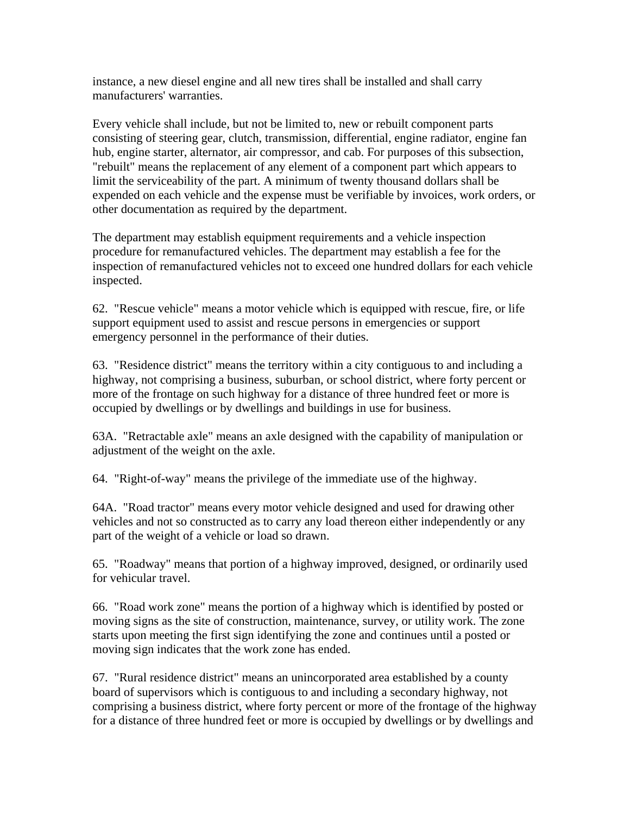instance, a new diesel engine and all new tires shall be installed and shall carry manufacturers' warranties.

Every vehicle shall include, but not be limited to, new or rebuilt component parts consisting of steering gear, clutch, transmission, differential, engine radiator, engine fan hub, engine starter, alternator, air compressor, and cab. For purposes of this subsection, "rebuilt" means the replacement of any element of a component part which appears to limit the serviceability of the part. A minimum of twenty thousand dollars shall be expended on each vehicle and the expense must be verifiable by invoices, work orders, or other documentation as required by the department.

The department may establish equipment requirements and a vehicle inspection procedure for remanufactured vehicles. The department may establish a fee for the inspection of remanufactured vehicles not to exceed one hundred dollars for each vehicle inspected.

62. "Rescue vehicle" means a motor vehicle which is equipped with rescue, fire, or life support equipment used to assist and rescue persons in emergencies or support emergency personnel in the performance of their duties.

63. "Residence district" means the territory within a city contiguous to and including a highway, not comprising a business, suburban, or school district, where forty percent or more of the frontage on such highway for a distance of three hundred feet or more is occupied by dwellings or by dwellings and buildings in use for business.

63A. "Retractable axle" means an axle designed with the capability of manipulation or adjustment of the weight on the axle.

64. "Right-of-way" means the privilege of the immediate use of the highway.

64A. "Road tractor" means every motor vehicle designed and used for drawing other vehicles and not so constructed as to carry any load thereon either independently or any part of the weight of a vehicle or load so drawn.

65. "Roadway" means that portion of a highway improved, designed, or ordinarily used for vehicular travel.

66. "Road work zone" means the portion of a highway which is identified by posted or moving signs as the site of construction, maintenance, survey, or utility work. The zone starts upon meeting the first sign identifying the zone and continues until a posted or moving sign indicates that the work zone has ended.

67. "Rural residence district" means an unincorporated area established by a county board of supervisors which is contiguous to and including a secondary highway, not comprising a business district, where forty percent or more of the frontage of the highway for a distance of three hundred feet or more is occupied by dwellings or by dwellings and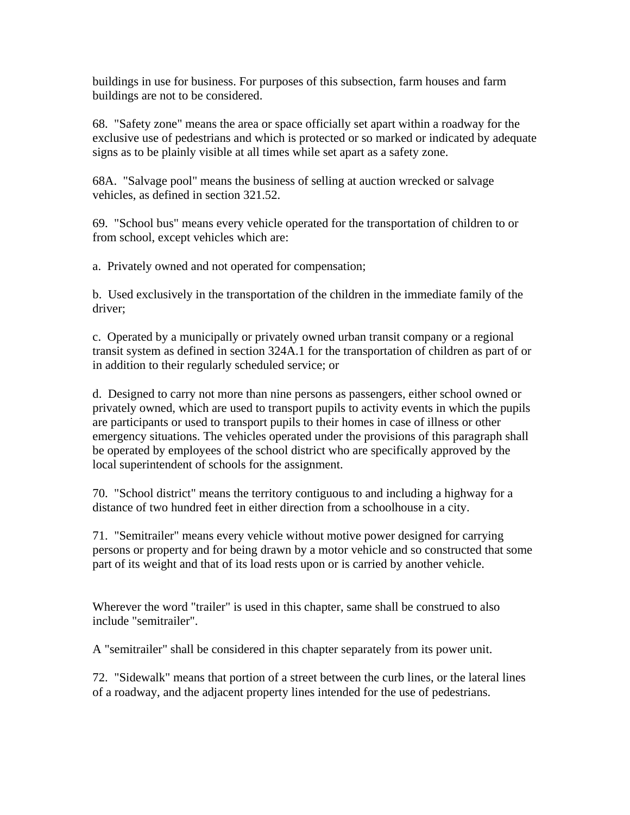buildings in use for business. For purposes of this subsection, farm houses and farm buildings are not to be considered.

68. "Safety zone" means the area or space officially set apart within a roadway for the exclusive use of pedestrians and which is protected or so marked or indicated by adequate signs as to be plainly visible at all times while set apart as a safety zone.

68A. "Salvage pool" means the business of selling at auction wrecked or salvage vehicles, as defined in section 321.52.

69. "School bus" means every vehicle operated for the transportation of children to or from school, except vehicles which are:

a. Privately owned and not operated for compensation;

b. Used exclusively in the transportation of the children in the immediate family of the driver;

c. Operated by a municipally or privately owned urban transit company or a regional transit system as defined in section 324A.1 for the transportation of children as part of or in addition to their regularly scheduled service; or

d. Designed to carry not more than nine persons as passengers, either school owned or privately owned, which are used to transport pupils to activity events in which the pupils are participants or used to transport pupils to their homes in case of illness or other emergency situations. The vehicles operated under the provisions of this paragraph shall be operated by employees of the school district who are specifically approved by the local superintendent of schools for the assignment.

70. "School district" means the territory contiguous to and including a highway for a distance of two hundred feet in either direction from a schoolhouse in a city.

71. "Semitrailer" means every vehicle without motive power designed for carrying persons or property and for being drawn by a motor vehicle and so constructed that some part of its weight and that of its load rests upon or is carried by another vehicle.

Wherever the word "trailer" is used in this chapter, same shall be construed to also include "semitrailer".

A "semitrailer" shall be considered in this chapter separately from its power unit.

72. "Sidewalk" means that portion of a street between the curb lines, or the lateral lines of a roadway, and the adjacent property lines intended for the use of pedestrians.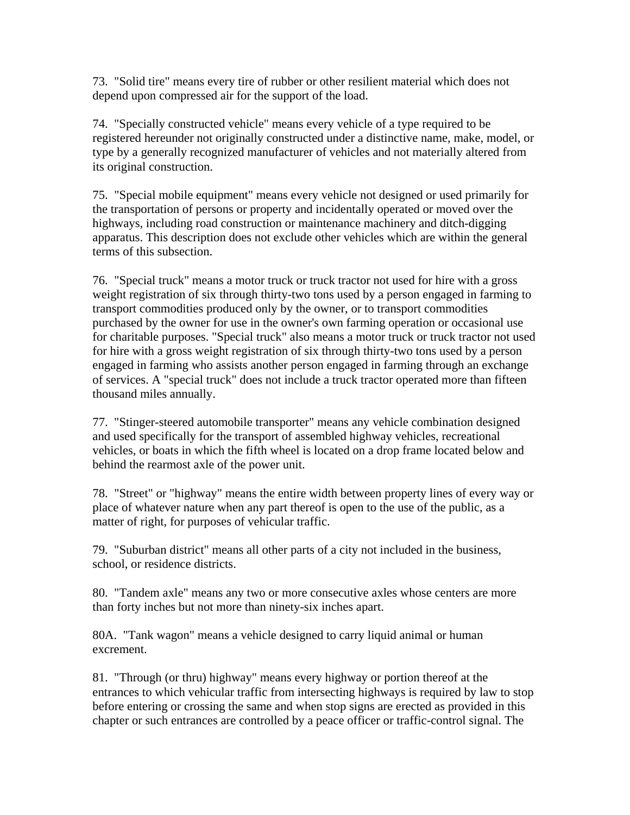73. "Solid tire" means every tire of rubber or other resilient material which does not depend upon compressed air for the support of the load.

74. "Specially constructed vehicle" means every vehicle of a type required to be registered hereunder not originally constructed under a distinctive name, make, model, or type by a generally recognized manufacturer of vehicles and not materially altered from its original construction.

75. "Special mobile equipment" means every vehicle not designed or used primarily for the transportation of persons or property and incidentally operated or moved over the highways, including road construction or maintenance machinery and ditch-digging apparatus. This description does not exclude other vehicles which are within the general terms of this subsection.

76. "Special truck" means a motor truck or truck tractor not used for hire with a gross weight registration of six through thirty-two tons used by a person engaged in farming to transport commodities produced only by the owner, or to transport commodities purchased by the owner for use in the owner's own farming operation or occasional use for charitable purposes. "Special truck" also means a motor truck or truck tractor not used for hire with a gross weight registration of six through thirty-two tons used by a person engaged in farming who assists another person engaged in farming through an exchange of services. A "special truck" does not include a truck tractor operated more than fifteen thousand miles annually.

77. "Stinger-steered automobile transporter" means any vehicle combination designed and used specifically for the transport of assembled highway vehicles, recreational vehicles, or boats in which the fifth wheel is located on a drop frame located below and behind the rearmost axle of the power unit.

78. "Street" or "highway" means the entire width between property lines of every way or place of whatever nature when any part thereof is open to the use of the public, as a matter of right, for purposes of vehicular traffic.

79. "Suburban district" means all other parts of a city not included in the business, school, or residence districts.

80. "Tandem axle" means any two or more consecutive axles whose centers are more than forty inches but not more than ninety-six inches apart.

80A. "Tank wagon" means a vehicle designed to carry liquid animal or human excrement.

81. "Through (or thru) highway" means every highway or portion thereof at the entrances to which vehicular traffic from intersecting highways is required by law to stop before entering or crossing the same and when stop signs are erected as provided in this chapter or such entrances are controlled by a peace officer or traffic-control signal. The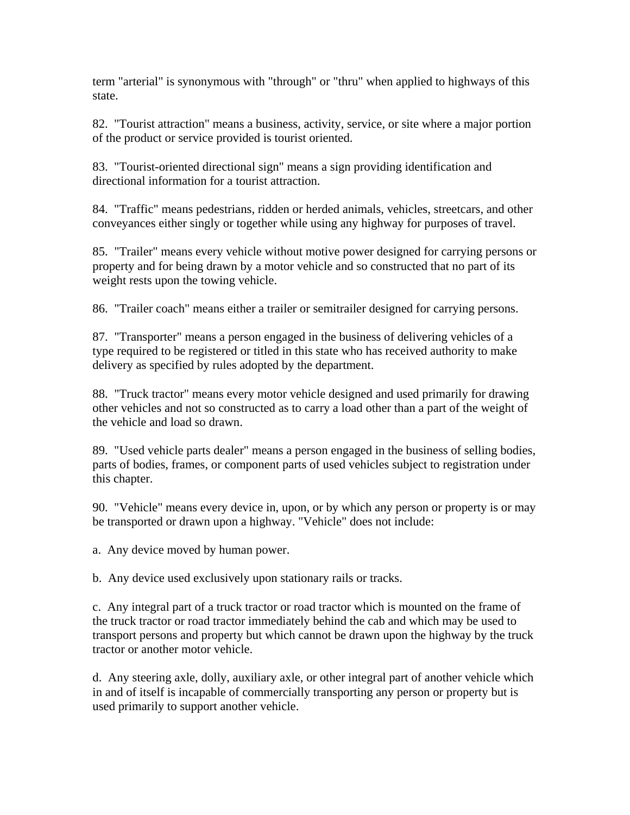term "arterial" is synonymous with "through" or "thru" when applied to highways of this state.

82. "Tourist attraction" means a business, activity, service, or site where a major portion of the product or service provided is tourist oriented.

83. "Tourist-oriented directional sign" means a sign providing identification and directional information for a tourist attraction.

84. "Traffic" means pedestrians, ridden or herded animals, vehicles, streetcars, and other conveyances either singly or together while using any highway for purposes of travel.

85. "Trailer" means every vehicle without motive power designed for carrying persons or property and for being drawn by a motor vehicle and so constructed that no part of its weight rests upon the towing vehicle.

86. "Trailer coach" means either a trailer or semitrailer designed for carrying persons.

87. "Transporter" means a person engaged in the business of delivering vehicles of a type required to be registered or titled in this state who has received authority to make delivery as specified by rules adopted by the department.

88. "Truck tractor" means every motor vehicle designed and used primarily for drawing other vehicles and not so constructed as to carry a load other than a part of the weight of the vehicle and load so drawn.

89. "Used vehicle parts dealer" means a person engaged in the business of selling bodies, parts of bodies, frames, or component parts of used vehicles subject to registration under this chapter.

90. "Vehicle" means every device in, upon, or by which any person or property is or may be transported or drawn upon a highway. "Vehicle" does not include:

a. Any device moved by human power.

b. Any device used exclusively upon stationary rails or tracks.

c. Any integral part of a truck tractor or road tractor which is mounted on the frame of the truck tractor or road tractor immediately behind the cab and which may be used to transport persons and property but which cannot be drawn upon the highway by the truck tractor or another motor vehicle.

d. Any steering axle, dolly, auxiliary axle, or other integral part of another vehicle which in and of itself is incapable of commercially transporting any person or property but is used primarily to support another vehicle.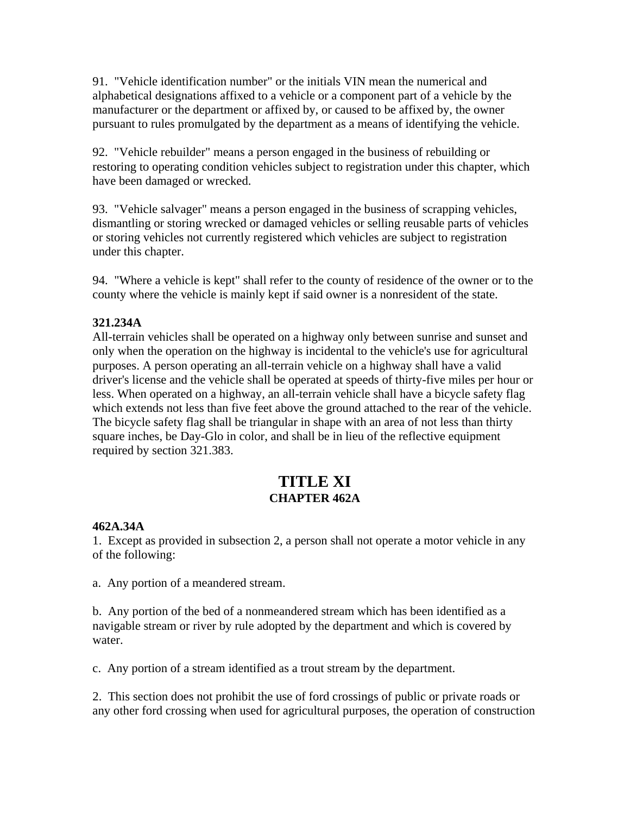91. "Vehicle identification number" or the initials VIN mean the numerical and alphabetical designations affixed to a vehicle or a component part of a vehicle by the manufacturer or the department or affixed by, or caused to be affixed by, the owner pursuant to rules promulgated by the department as a means of identifying the vehicle.

92. "Vehicle rebuilder" means a person engaged in the business of rebuilding or restoring to operating condition vehicles subject to registration under this chapter, which have been damaged or wrecked.

93. "Vehicle salvager" means a person engaged in the business of scrapping vehicles, dismantling or storing wrecked or damaged vehicles or selling reusable parts of vehicles or storing vehicles not currently registered which vehicles are subject to registration under this chapter.

94. "Where a vehicle is kept" shall refer to the county of residence of the owner or to the county where the vehicle is mainly kept if said owner is a nonresident of the state.

#### **321.234A**

All-terrain vehicles shall be operated on a highway only between sunrise and sunset and only when the operation on the highway is incidental to the vehicle's use for agricultural purposes. A person operating an all-terrain vehicle on a highway shall have a valid driver's license and the vehicle shall be operated at speeds of thirty-five miles per hour or less. When operated on a highway, an all-terrain vehicle shall have a bicycle safety flag which extends not less than five feet above the ground attached to the rear of the vehicle. The bicycle safety flag shall be triangular in shape with an area of not less than thirty square inches, be Day-Glo in color, and shall be in lieu of the reflective equipment required by section 321.383.

# **TITLE XI CHAPTER 462A**

#### **462A.34A**

1. Except as provided in subsection 2, a person shall not operate a motor vehicle in any of the following:

a. Any portion of a meandered stream.

b. Any portion of the bed of a nonmeandered stream which has been identified as a navigable stream or river by rule adopted by the department and which is covered by water.

c. Any portion of a stream identified as a trout stream by the department.

2. This section does not prohibit the use of ford crossings of public or private roads or any other ford crossing when used for agricultural purposes, the operation of construction